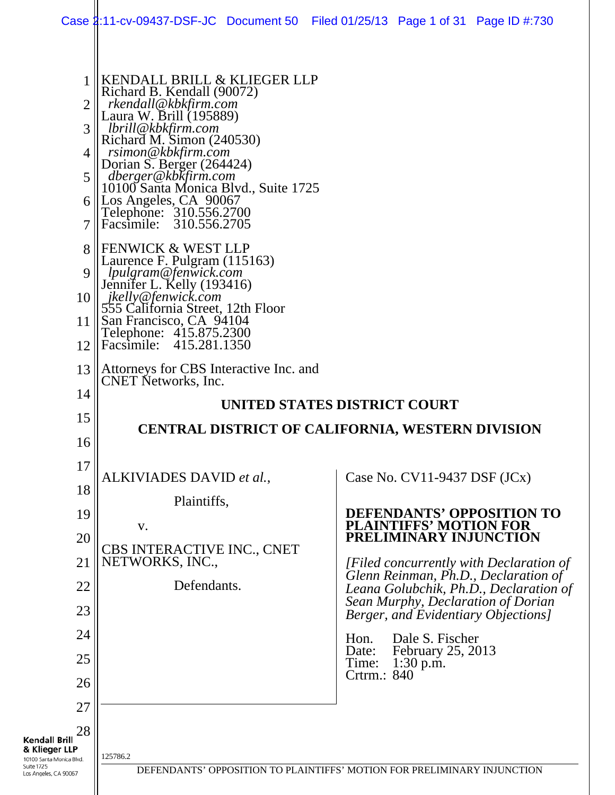| 1<br>2                                                                                                         | KENDALL BRILL & KLIEGER LLP<br>Richard B. Kendall (90072)<br>rkendall@kbkfirm.com<br>Laura W. Brill (195889) |                                                                                 |
|----------------------------------------------------------------------------------------------------------------|--------------------------------------------------------------------------------------------------------------|---------------------------------------------------------------------------------|
| 3                                                                                                              | lbrill@kbkfirm.com                                                                                           |                                                                                 |
| 4                                                                                                              | Richard M. Simon (240530)<br>_rsimon@kbkfirm.com                                                             |                                                                                 |
| 5 <sup>1</sup>                                                                                                 | Dorian S. Berger (264424)<br>dberger@kbkfirm.com                                                             |                                                                                 |
| 6                                                                                                              | 10100 Santa Monica Blvd., Suite 1725<br>Los Angeles, CA 90067                                                |                                                                                 |
| 7                                                                                                              | Telephone: 310.556.2700<br>Facsimile: 310.556.2705                                                           |                                                                                 |
| 8                                                                                                              | <b>FENWICK &amp; WEST LLP</b>                                                                                |                                                                                 |
| 9                                                                                                              | Laurence F. Pulgram (115163)<br>lpulgram@fenwick.com                                                         |                                                                                 |
| 10 <sup>1</sup>                                                                                                | Jennifer L. Kelly (193416)<br>jkelly@fenwick.com                                                             |                                                                                 |
| 11                                                                                                             | 555 California Street, 12th Floor<br>San Francisco, CA 94104                                                 |                                                                                 |
| 12                                                                                                             | Telephone: 415.875.2300<br>Facsimile: 415.281.1350                                                           |                                                                                 |
| 13                                                                                                             | Attorneys for CBS Interactive Inc. and<br><b>CNET Networks</b> , Inc.                                        |                                                                                 |
| 14                                                                                                             |                                                                                                              | UNITED STATES DISTRICT COURT                                                    |
| 15                                                                                                             |                                                                                                              | CENTRAL DISTRICT OF CALIFORNIA, WESTERN DIVISION                                |
| 16                                                                                                             |                                                                                                              |                                                                                 |
| 17                                                                                                             | ALKIVIADES DAVID et al.,                                                                                     | Case No. $CV11-9437$ DSF $JCx)$                                                 |
| 18                                                                                                             | Plaintiffs,                                                                                                  |                                                                                 |
| 19                                                                                                             | V.                                                                                                           | <b>DEFENDANTS' OPPOSITION TO</b><br><b>PLAINTIFFS' MOTION FOR</b>               |
| 20                                                                                                             | CBS INTERACTIVE INC., CNET                                                                                   | PRELIMINARY INJUNCTION                                                          |
| 21                                                                                                             | NETWORKS, INC.,                                                                                              | [Filed concurrently with Declaration of<br>Glenn Reinman, Ph.D., Declaration of |
| 22                                                                                                             | Defendants.                                                                                                  | Leana Golubchik, Ph.D., Declaration of<br>Sean Murphy, Declaration of Dorian    |
| 23                                                                                                             |                                                                                                              | Berger, and Evidentiary Objections]                                             |
| 24                                                                                                             |                                                                                                              | Dale S. Fischer<br>Hon.<br>February 25, 2013<br>Date:                           |
| 25                                                                                                             |                                                                                                              | Time:<br>$1:30$ p.m.<br>Crtrm.: 840                                             |
| 26                                                                                                             |                                                                                                              |                                                                                 |
| 27                                                                                                             |                                                                                                              |                                                                                 |
| 28<br><b>Kendall Brill</b><br>& Klieger LLP<br>10100 Santa Monica Blvd.<br>Suite 1725<br>Los Angeles, CA 90067 | 125786.2                                                                                                     | DEFENDANTS' OPPOSITION TO PLAINTIFFS' MOTION FOR PRELIMINARY INJUNCTION         |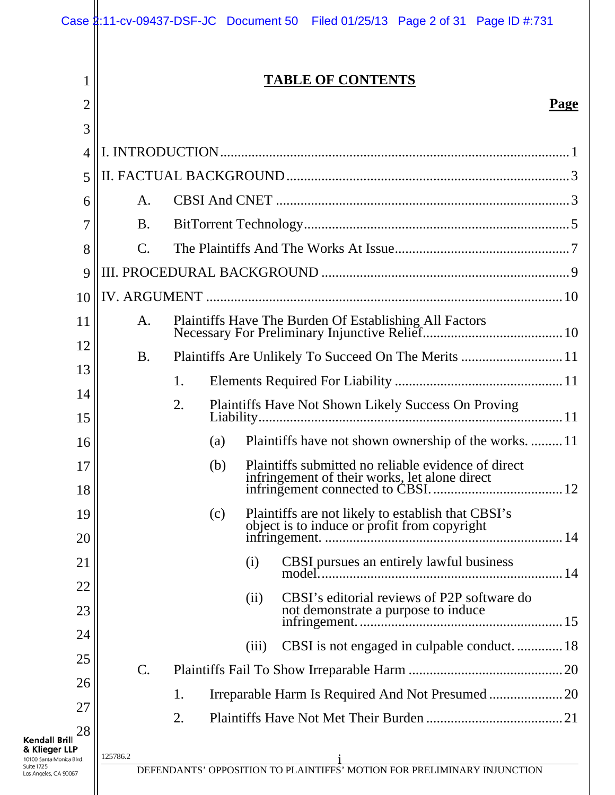|                                                                                                         |                |     |       | Case 1:11-cv-09437-DSF-JC Document 50 Filed 01/25/13 Page 2 of 31 Page ID #:731                    |             |  |
|---------------------------------------------------------------------------------------------------------|----------------|-----|-------|----------------------------------------------------------------------------------------------------|-------------|--|
| 1<br>2<br>3                                                                                             |                |     |       | <b>TABLE OF CONTENTS</b>                                                                           | <b>Page</b> |  |
| 4                                                                                                       |                |     |       |                                                                                                    |             |  |
| 5                                                                                                       |                |     |       |                                                                                                    |             |  |
| 6                                                                                                       | A.             |     |       |                                                                                                    |             |  |
| 7                                                                                                       | <b>B.</b>      |     |       |                                                                                                    |             |  |
| 8                                                                                                       | $\mathbf{C}$ . |     |       |                                                                                                    |             |  |
| 9                                                                                                       |                |     |       |                                                                                                    |             |  |
| 10                                                                                                      |                |     |       |                                                                                                    |             |  |
| 11                                                                                                      | A.             |     |       |                                                                                                    |             |  |
| 12                                                                                                      | <b>B.</b>      |     |       | Plaintiffs Are Unlikely To Succeed On The Merits  11                                               |             |  |
| 13                                                                                                      |                | 1.  |       |                                                                                                    |             |  |
| 14                                                                                                      |                | 2.  |       | Plaintiffs Have Not Shown Likely Success On Proving                                                |             |  |
| 15                                                                                                      |                |     |       |                                                                                                    |             |  |
| 16                                                                                                      |                | (a) |       | Plaintiffs have not shown ownership of the works.  11                                              |             |  |
| 17<br>18                                                                                                |                | (b) |       | Plaintiffs submitted no reliable evidence of direct                                                |             |  |
| 19<br>20                                                                                                |                | (c) |       | Plaintiffs are not likely to establish that CBSI's<br>object is to induce or profit from copyright |             |  |
| 21                                                                                                      |                |     | (i)   | CBSI pursues an entirely lawful business                                                           |             |  |
| 22                                                                                                      |                |     |       |                                                                                                    |             |  |
| 23                                                                                                      |                |     | (ii)  | CBSI's editorial reviews of P2P software do<br>not demonstrate a purpose to induce                 |             |  |
| 24                                                                                                      |                |     | (iii) | CBSI is not engaged in culpable conduct18                                                          |             |  |
| 25                                                                                                      | $C$ .          |     |       |                                                                                                    |             |  |
| 26                                                                                                      |                | 1.  |       | Irreparable Harm Is Required And Not Presumed  20                                                  |             |  |
| 27                                                                                                      |                | 2.  |       |                                                                                                    |             |  |
| 28<br>Kendall Brill<br>& Klieger LLP<br>10100 Santa Monica Blvd.<br>Suite 1725<br>Los Angeles, CA 90067 | 125786.2       |     |       | DEFENDANTS' OPPOSITION TO PLAINTIFFS' MOTION FOR PRELIMINARY INJUNCTION                            |             |  |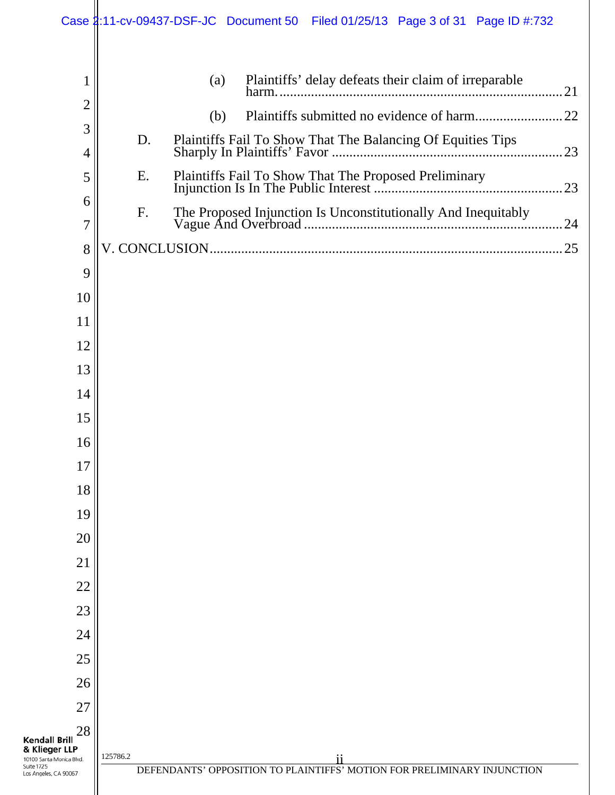|                                                                                                          | Case 2:11-cv-09437-DSF-JC Document 50 Filed 01/25/13 Page 3 of 31 Page ID #:732           |
|----------------------------------------------------------------------------------------------------------|-------------------------------------------------------------------------------------------|
| 1                                                                                                        | Plaintiffs' delay defeats their claim of irreparable<br>(a)                               |
| 2                                                                                                        | (b)                                                                                       |
| 3                                                                                                        | D.                                                                                        |
| $\overline{4}$                                                                                           |                                                                                           |
| 5                                                                                                        | Ε.                                                                                        |
| 6<br>7                                                                                                   | F.                                                                                        |
| 8                                                                                                        |                                                                                           |
| 9                                                                                                        |                                                                                           |
| 10                                                                                                       |                                                                                           |
| 11                                                                                                       |                                                                                           |
| 12                                                                                                       |                                                                                           |
| 13                                                                                                       |                                                                                           |
| 14                                                                                                       |                                                                                           |
| 15                                                                                                       |                                                                                           |
| 16                                                                                                       |                                                                                           |
| 17                                                                                                       |                                                                                           |
| 18                                                                                                       |                                                                                           |
| 19                                                                                                       |                                                                                           |
| 20                                                                                                       |                                                                                           |
| 21                                                                                                       |                                                                                           |
| 22                                                                                                       |                                                                                           |
| 23                                                                                                       |                                                                                           |
| 24                                                                                                       |                                                                                           |
| 25                                                                                                       |                                                                                           |
| 26                                                                                                       |                                                                                           |
| 27                                                                                                       |                                                                                           |
| 28                                                                                                       |                                                                                           |
| <b>Kendall Brill</b><br>& Klieger LLP<br>10100 Santa Monica Blvd.<br>Suite 1725<br>Los Angeles, CA 90067 | 125786.2<br>11<br>DEFENDANTS' OPPOSITION TO PLAINTIFFS' MOTION FOR PRELIMINARY INJUNCTION |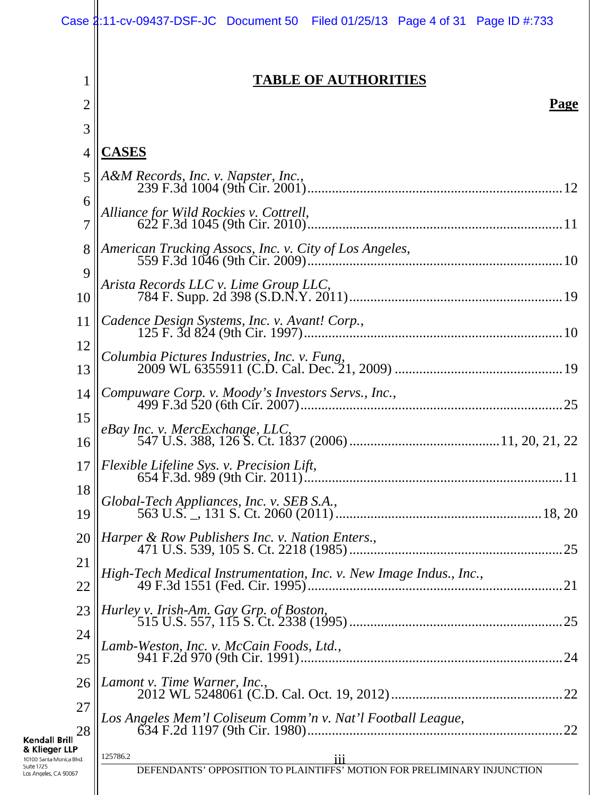|                                                                          | Case 1:11-cv-09437-DSF-JC Document 50 Filed 01/25/13 Page 4 of 31 Page ID #:733 |
|--------------------------------------------------------------------------|---------------------------------------------------------------------------------|
| 1                                                                        | <b>TABLE OF AUTHORITIES</b>                                                     |
| $\overline{2}$                                                           | <b>Page</b>                                                                     |
| 3                                                                        |                                                                                 |
| 4                                                                        | <b>CASES</b>                                                                    |
| 5                                                                        | A&M Records, Inc. v. Napster, Inc.,                                             |
| 6<br>7                                                                   | Alliance for Wild Rockies v. Cottrell,                                          |
| 8                                                                        |                                                                                 |
| 9                                                                        |                                                                                 |
| 10                                                                       | Arista Records LLC v. Lime Group LLC,                                           |
| 11                                                                       | Cadence Design Systems, Inc. v. Avant! Corp.,                                   |
| 12<br>13                                                                 |                                                                                 |
| 14                                                                       | Compuware Corp. v. Moody's Investors Servs., Inc.,                              |
| 15                                                                       |                                                                                 |
| 16                                                                       |                                                                                 |
| 17                                                                       |                                                                                 |
| 18<br>19                                                                 | Global-Tech Appliances, Inc. v. SEB S.A.,                                       |
| 20                                                                       | Harper & Row Publishers Inc. v. Nation Enters.,                                 |
| 21                                                                       | .25                                                                             |
| 22                                                                       | High-Tech Medical Instrumentation, Inc. v. New Image Indus., Inc.,<br>.21       |
| 23                                                                       | .25                                                                             |
| 24                                                                       | Lamb-Weston, Inc. v. McCain Foods, Ltd.,                                        |
| 25                                                                       | .24                                                                             |
| 26                                                                       | Lamont v. Time Warner, Inc.,                                                    |
| 27<br>28                                                                 | Los Angeles Mem'l Coliseum Comm'n v. Nat'l Football League,<br>22               |
| Kendall Brill<br>& Klieger LLP<br>10100 Santa Monica Blvd.<br>Suite 1725 | 125786.2<br>111                                                                 |
| Los Angeles, CA 90067                                                    | DEFENDANTS' OPPOSITION TO PLAINTIFFS' MOTION FOR PRELIMINARY INJUNCTION         |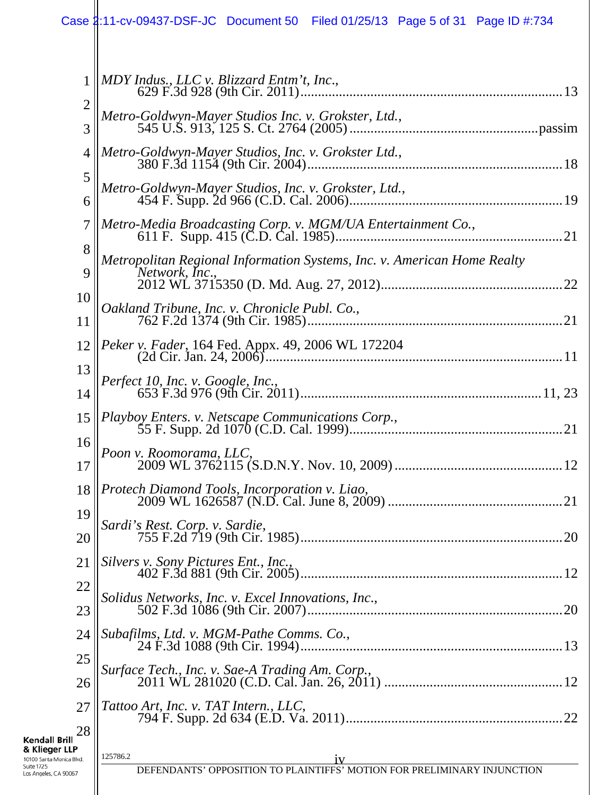|                                                         | Case 1:11-cv-09437-DSF-JC Document 50 Filed 01/25/13 Page 5 of 31 Page ID #:734           |
|---------------------------------------------------------|-------------------------------------------------------------------------------------------|
|                                                         |                                                                                           |
| 1                                                       | MDY Indus., LLC v. Blizzard Entm't, Inc.,                                                 |
| $\overline{2}$                                          | Metro-Goldwyn-Mayer Studios Inc. v. Grokster, Ltd.,                                       |
| 3                                                       |                                                                                           |
| $\overline{4}$                                          | Metro-Goldwyn-Mayer Studios, Inc. v. Grokster Ltd.,                                       |
| 5<br>6                                                  | Metro-Goldwyn-Mayer Studios, Inc. v. Grokster, Ltd.,                                      |
| 7                                                       | Metro-Media Broadcasting Corp. v. MGM/UA Entertainment Co.,                               |
| 8                                                       |                                                                                           |
| 9                                                       | Metropolitan Regional Information Systems, Inc. v. American Home Realty<br>Network, Inc., |
| 10                                                      |                                                                                           |
| 11                                                      |                                                                                           |
| 12                                                      | Peker v. Fader, 164 Fed. Appx. 49, 2006 WL 172204                                         |
| 13                                                      |                                                                                           |
| 14                                                      |                                                                                           |
| 15                                                      | Playboy Enters. v. Netscape Communications Corp.,                                         |
| 16                                                      | Poon v. Roomorama, LLC,                                                                   |
| 17                                                      |                                                                                           |
| 18                                                      | Protech Diamond Tools, Incorporation v. Liao,                                             |
| 19                                                      | Sardi's Rest. Corp. v. Sardie,                                                            |
| 20                                                      |                                                                                           |
| 21                                                      | Silvers v. Sony Pictures Ent., Inc.,                                                      |
| 22<br>23                                                | Solidus Networks, Inc. v. Excel Innovations, Inc.,<br>.20                                 |
| 24                                                      | Subafilms, Ltd. v. MGM-Pathe Comms. Co.,                                                  |
| 25                                                      |                                                                                           |
| 26                                                      | Surface Tech., Inc. v. Sae-A Trading Am. Corp.,                                           |
| 27                                                      | Tattoo Art, Inc. v. TAT Intern., LLC,                                                     |
| 28<br><b>Kendall Brill</b>                              |                                                                                           |
| & Klieger LLP<br>10100 Santa Monica Blvd.<br>Suite 1725 | 125786.2<br>1V<br>DEFENDANTS' OPPOSITION TO PLAINTIFFS' MOTION FOR PRELIMINARY INJUNCTION |
| Los Angeles, CA 90067                                   |                                                                                           |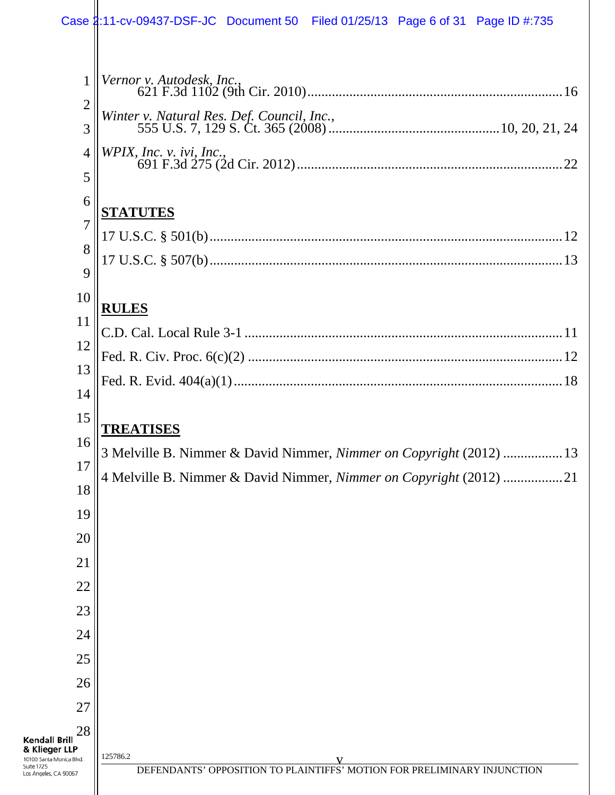|                                                                                                                 | Case 2:11-cv-09437-DSF-JC Document 50 Filed 01/25/13 Page 6 of 31 Page ID #:735                                                           |
|-----------------------------------------------------------------------------------------------------------------|-------------------------------------------------------------------------------------------------------------------------------------------|
|                                                                                                                 |                                                                                                                                           |
| 1                                                                                                               | Vernor v. Autodesk, Inc.,                                                                                                                 |
| $\overline{2}$                                                                                                  |                                                                                                                                           |
| 3                                                                                                               | Winter v. Natural Res. Def. Council, Inc.,                                                                                                |
| $\overline{4}$                                                                                                  | WPIX, Inc. v. ivi, Inc.,                                                                                                                  |
| 5                                                                                                               |                                                                                                                                           |
| 6                                                                                                               | <b>STATUTES</b>                                                                                                                           |
| 7                                                                                                               |                                                                                                                                           |
| 8                                                                                                               |                                                                                                                                           |
| 9                                                                                                               |                                                                                                                                           |
| 10<br>11                                                                                                        | <b>RULES</b>                                                                                                                              |
| 12                                                                                                              |                                                                                                                                           |
| 13                                                                                                              |                                                                                                                                           |
| 14                                                                                                              |                                                                                                                                           |
| 15                                                                                                              |                                                                                                                                           |
| 16                                                                                                              | TREATISES                                                                                                                                 |
| 17                                                                                                              | 3 Melville B. Nimmer & David Nimmer, Nimmer on Copyright (2012)  13<br>4 Melville B. Nimmer & David Nimmer, Nimmer on Copyright (2012) 21 |
| 18                                                                                                              |                                                                                                                                           |
| 19                                                                                                              |                                                                                                                                           |
| 20                                                                                                              |                                                                                                                                           |
| 21                                                                                                              |                                                                                                                                           |
| 22                                                                                                              |                                                                                                                                           |
| 23                                                                                                              |                                                                                                                                           |
| 24                                                                                                              |                                                                                                                                           |
| 25<br>26                                                                                                        |                                                                                                                                           |
| 27                                                                                                              |                                                                                                                                           |
| 28                                                                                                              |                                                                                                                                           |
| <b>Kendall Brill</b><br>& Klieger LLP<br>10100 Santa Monica Blvd.<br><b>Suite 1725</b><br>Los Angeles, CA 90067 | 125786.2<br>V<br>DEFENDANTS' OPPOSITION TO PLAINTIFFS' MOTION FOR PRELIMINARY INJUNCTION                                                  |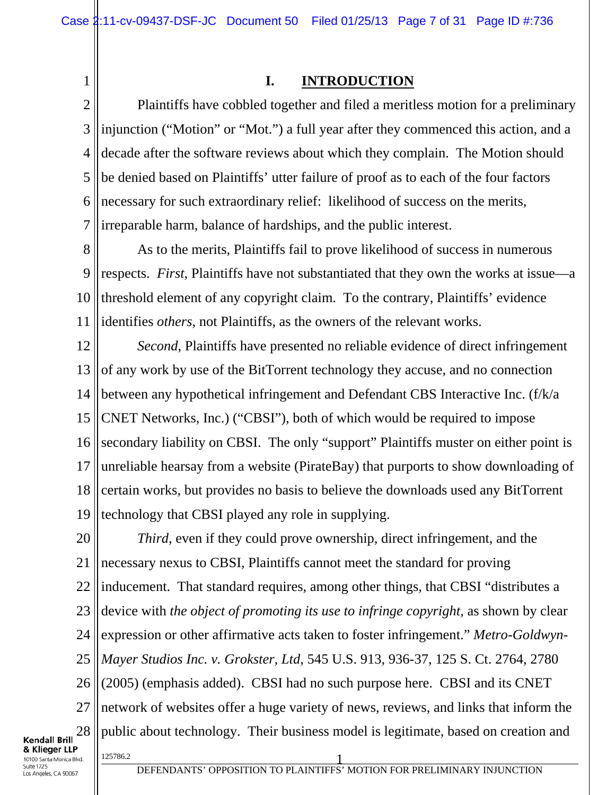### **I. INTRODUCTION**

2 3 4 5 6 7 Plaintiffs have cobbled together and filed a meritless motion for a preliminary injunction ("Motion" or "Mot.") a full year after they commenced this action, and a decade after the software reviews about which they complain. The Motion should be denied based on Plaintiffs' utter failure of proof as to each of the four factors necessary for such extraordinary relief: likelihood of success on the merits, irreparable harm, balance of hardships, and the public interest.

8 9 10 11 As to the merits, Plaintiffs fail to prove likelihood of success in numerous respects. *First*, Plaintiffs have not substantiated that they own the works at issue—a threshold element of any copyright claim. To the contrary, Plaintiffs' evidence identifies *others*, not Plaintiffs, as the owners of the relevant works.

12 13 14 15 16 17 18 19 *Second*, Plaintiffs have presented no reliable evidence of direct infringement of any work by use of the BitTorrent technology they accuse, and no connection between any hypothetical infringement and Defendant CBS Interactive Inc. (f/k/a CNET Networks, Inc.) ("CBSI"), both of which would be required to impose secondary liability on CBSI. The only "support" Plaintiffs muster on either point is unreliable hearsay from a website (PirateBay) that purports to show downloading of certain works, but provides no basis to believe the downloads used any BitTorrent technology that CBSI played any role in supplying.

20 21 22 23 24 25 26 27 28 1<sup>25786.2</sup> 1 *Third*, even if they could prove ownership, direct infringement, and the necessary nexus to CBSI, Plaintiffs cannot meet the standard for proving inducement. That standard requires, among other things, that CBSI "distributes a device with *the object of promoting its use to infringe copyright*, as shown by clear expression or other affirmative acts taken to foster infringement." *Metro-Goldwyn-Mayer Studios Inc. v. Grokster, Ltd*, 545 U.S. 913, 936-37, 125 S. Ct. 2764, 2780 (2005) (emphasis added). CBSI had no such purpose here. CBSI and its CNET network of websites offer a huge variety of news, reviews, and links that inform the public about technology. Their business model is legitimate, based on creation and

**Kendall Brill** & Klieger LLP 10100 Santa Monica Blvd. Suite 1725 os Angeles, CA 90067

1

DEFENDANTS' OPPOSITION TO PLAINTIFFS' MOTION FOR PRELIMINARY INJUNCTION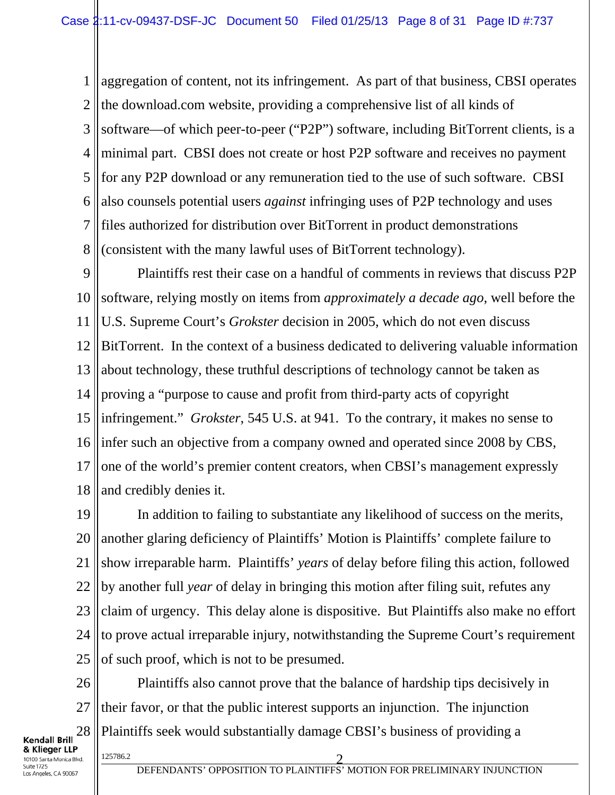1 2 3 4 5 6 7 8 aggregation of content, not its infringement. As part of that business, CBSI operates the download.com website, providing a comprehensive list of all kinds of software—of which peer-to-peer ("P2P") software, including BitTorrent clients, is a minimal part. CBSI does not create or host P2P software and receives no payment for any P2P download or any remuneration tied to the use of such software. CBSI also counsels potential users *against* infringing uses of P2P technology and uses files authorized for distribution over BitTorrent in product demonstrations (consistent with the many lawful uses of BitTorrent technology).

9 10 11 12 13 14 15 16 17 18 Plaintiffs rest their case on a handful of comments in reviews that discuss P2P software, relying mostly on items from *approximately a decade ago*, well before the U.S. Supreme Court's *Grokster* decision in 2005, which do not even discuss BitTorrent. In the context of a business dedicated to delivering valuable information about technology, these truthful descriptions of technology cannot be taken as proving a "purpose to cause and profit from third-party acts of copyright infringement." *Grokster*, 545 U.S. at 941. To the contrary, it makes no sense to infer such an objective from a company owned and operated since 2008 by CBS, one of the world's premier content creators, when CBSI's management expressly and credibly denies it.

19 20 21 22 23 24 25 In addition to failing to substantiate any likelihood of success on the merits, another glaring deficiency of Plaintiffs' Motion is Plaintiffs' complete failure to show irreparable harm. Plaintiffs' *years* of delay before filing this action, followed by another full *year* of delay in bringing this motion after filing suit, refutes any claim of urgency. This delay alone is dispositive. But Plaintiffs also make no effort to prove actual irreparable injury, notwithstanding the Supreme Court's requirement of such proof, which is not to be presumed.

26 27 28 125786.2 2 Plaintiffs also cannot prove that the balance of hardship tips decisively in their favor, or that the public interest supports an injunction. The injunction Plaintiffs seek would substantially damage CBSI's business of providing a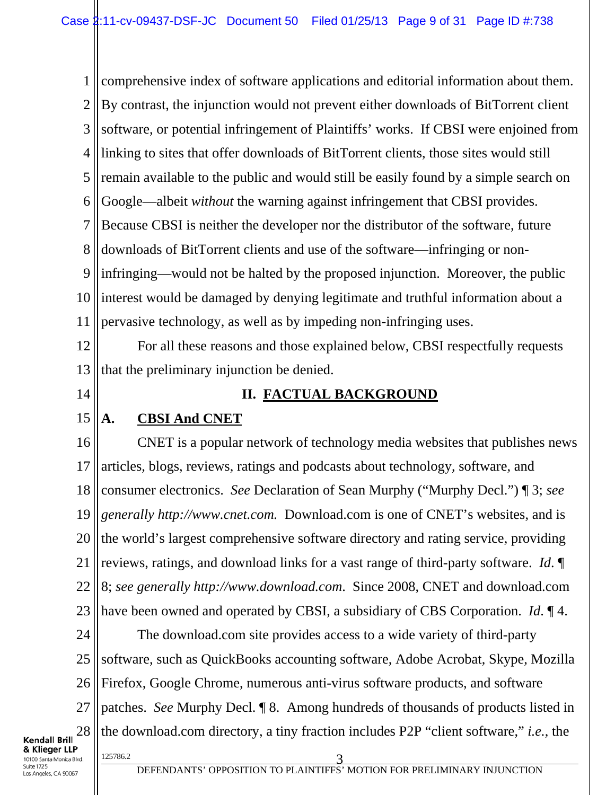1 2 3 4 5 6 7 8 9 10 11 12 13 14 15 16 17 18 19 20 21 22 23 24 25 26 27 28 125786.2 3 comprehensive index of software applications and editorial information about them. By contrast, the injunction would not prevent either downloads of BitTorrent client software, or potential infringement of Plaintiffs' works. If CBSI were enjoined from linking to sites that offer downloads of BitTorrent clients, those sites would still remain available to the public and would still be easily found by a simple search on Google—albeit *without* the warning against infringement that CBSI provides. Because CBSI is neither the developer nor the distributor of the software, future downloads of BitTorrent clients and use of the software—infringing or noninfringing—would not be halted by the proposed injunction. Moreover, the public interest would be damaged by denying legitimate and truthful information about a pervasive technology, as well as by impeding non-infringing uses. For all these reasons and those explained below, CBSI respectfully requests that the preliminary injunction be denied. **II. FACTUAL BACKGROUND A. CBSI And CNET** CNET is a popular network of technology media websites that publishes news articles, blogs, reviews, ratings and podcasts about technology, software, and consumer electronics. *See* Declaration of Sean Murphy ("Murphy Decl.") ¶ 3; *see generally http://www.cnet.com.* Download.com is one of CNET's websites, and is the world's largest comprehensive software directory and rating service, providing reviews, ratings, and download links for a vast range of third-party software. *Id*. ¶ 8; *see generally http://www.download.com*. Since 2008, CNET and download.com have been owned and operated by CBSI, a subsidiary of CBS Corporation. *Id*. ¶ 4. The download.com site provides access to a wide variety of third-party software, such as QuickBooks accounting software, Adobe Acrobat, Skype, Mozilla Firefox, Google Chrome, numerous anti-virus software products, and software patches. *See* Murphy Decl. ¶ 8. Among hundreds of thousands of products listed in the download.com directory, a tiny fraction includes P2P "client software," *i.e.*, the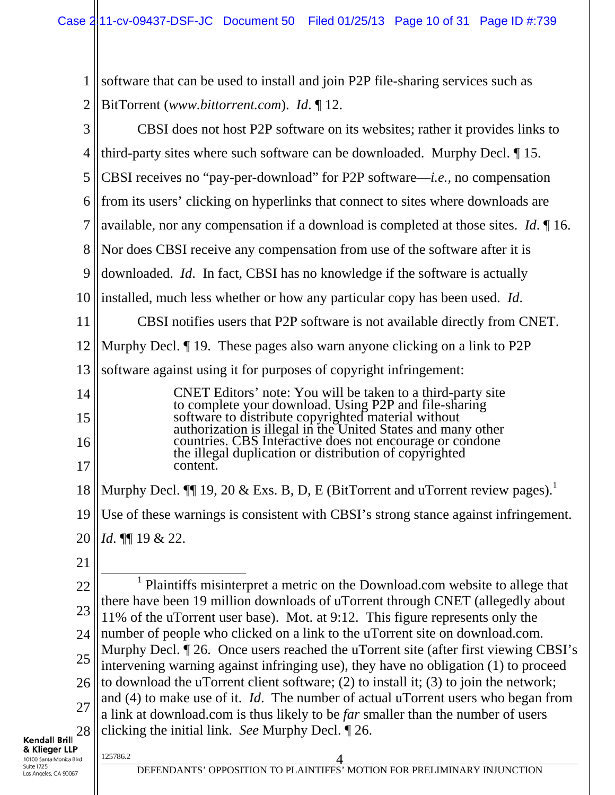1 2 3 4 software that can be used to install and join P2P file-sharing services such as BitTorrent (*www.bittorrent.com*). *Id*. ¶ 12. CBSI does not host P2P software on its websites; rather it provides links to third-party sites where such software can be downloaded. Murphy Decl. ¶ 15.

5 CBSI receives no "pay-per-download" for P2P software—*i.e.,* no compensation

6 from its users' clicking on hyperlinks that connect to sites where downloads are

7 available, nor any compensation if a download is completed at those sites. *Id*. ¶ 16.

8 Nor does CBSI receive any compensation from use of the software after it is

9 downloaded. *Id*. In fact, CBSI has no knowledge if the software is actually

10 installed, much less whether or how any particular copy has been used. *Id*.

11 12 CBSI notifies users that P2P software is not available directly from CNET. Murphy Decl. ¶ 19. These pages also warn anyone clicking on a link to P2P

13 software against using it for purposes of copyright infringement:

| 14              | CNET Editors' note: You will be taken to a third-party site<br>to complete your download. Using P2P and file-sharing |
|-----------------|----------------------------------------------------------------------------------------------------------------------|
| 15 <sup>1</sup> | software to distribute copyrighted material without<br>authorization is illegal in the United States and many other  |
| 16              | countries. CBS Interactive does not encourage or condone<br>the illegal duplication or distribution of copyrighted   |
| 17 <sup>1</sup> | content.                                                                                                             |

18 Murphy Decl.  $\P\P$  19, 20 & Exs. B, D, E (BitTorrent and uTorrent review pages).<sup>1</sup>

19 Use of these warnings is consistent with CBSI's strong stance against infringement.

20 *Id*. ¶¶ 19 & 22.

21

22 23 24 25 26 27 28 <u>1</u> <sup>1</sup> Plaintiffs misinterpret a metric on the Download.com website to allege that there have been 19 million downloads of uTorrent through CNET (allegedly about 11% of the uTorrent user base). Mot. at 9:12. This figure represents only the number of people who clicked on a link to the uTorrent site on download.com. Murphy Decl.  $\P$  26. Once users reached the uTorrent site (after first viewing CBSI's intervening warning against infringing use), they have no obligation (1) to proceed to download the uTorrent client software; (2) to install it; (3) to join the network; and (4) to make use of it. *Id*. The number of actual uTorrent users who began from a link at download.com is thus likely to be *far* smaller than the number of users clicking the initial link. *See* Murphy Decl. ¶ 26.

#### **Kendall Brill** & Klieger LLP 10100 Santa Monica Blvd. Suite 1725

Los Angeles, CA 90067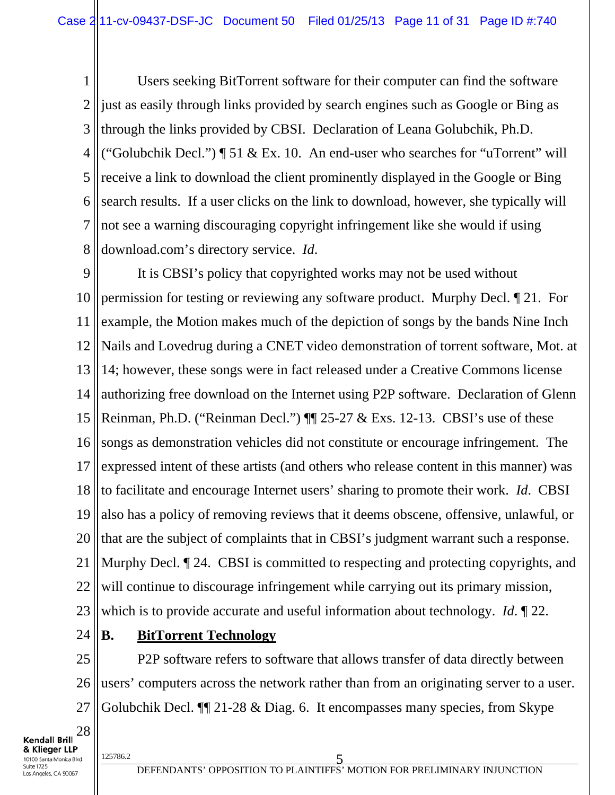1 2 3 4 5 6 7 8 Users seeking BitTorrent software for their computer can find the software just as easily through links provided by search engines such as Google or Bing as through the links provided by CBSI. Declaration of Leana Golubchik, Ph.D. ("Golubchik Decl.") ¶ 51 & Ex. 10. An end-user who searches for "uTorrent" will receive a link to download the client prominently displayed in the Google or Bing search results. If a user clicks on the link to download, however, she typically will not see a warning discouraging copyright infringement like she would if using download.com's directory service. *Id*.

9 10 11 12 13 14 15 16 17 18 19 20 21 22 23 It is CBSI's policy that copyrighted works may not be used without permission for testing or reviewing any software product. Murphy Decl. ¶ 21. For example, the Motion makes much of the depiction of songs by the bands Nine Inch Nails and Lovedrug during a CNET video demonstration of torrent software, Mot. at 14; however, these songs were in fact released under a Creative Commons license authorizing free download on the Internet using P2P software. Declaration of Glenn Reinman, Ph.D. ("Reinman Decl.") ¶¶ 25-27 & Exs. 12-13. CBSI's use of these songs as demonstration vehicles did not constitute or encourage infringement. The expressed intent of these artists (and others who release content in this manner) was to facilitate and encourage Internet users' sharing to promote their work. *Id*. CBSI also has a policy of removing reviews that it deems obscene, offensive, unlawful, or that are the subject of complaints that in CBSI's judgment warrant such a response. Murphy Decl.  $\llbracket 24$ . CBSI is committed to respecting and protecting copyrights, and will continue to discourage infringement while carrying out its primary mission, which is to provide accurate and useful information about technology. *Id*. ¶ 22.

24

### **B. BitTorrent Technology**

25 26 27 P2P software refers to software that allows transfer of data directly between users' computers across the network rather than from an originating server to a user. Golubchik Decl. ¶¶ 21-28 & Diag. 6. It encompasses many species, from Skype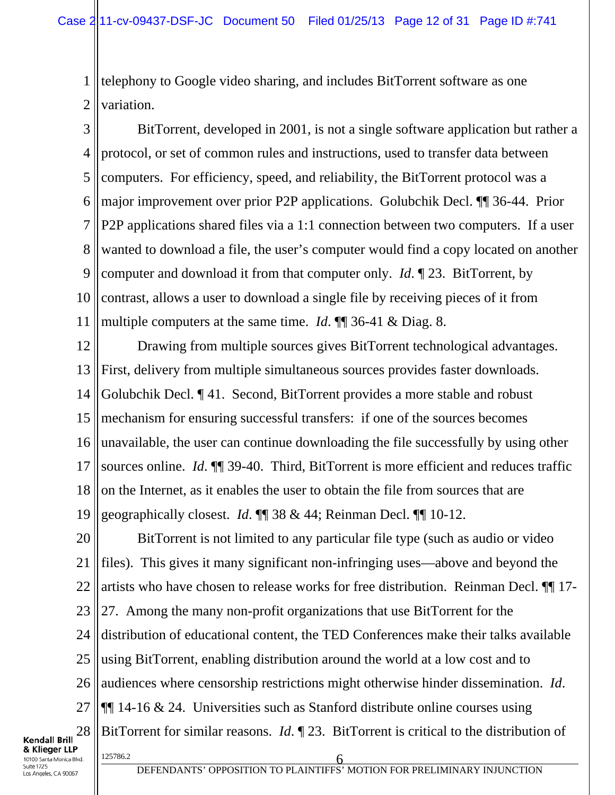1 2 telephony to Google video sharing, and includes BitTorrent software as one variation.

3 4 5 6 7 8 9 10 11 BitTorrent, developed in 2001, is not a single software application but rather a protocol, or set of common rules and instructions, used to transfer data between computers. For efficiency, speed, and reliability, the BitTorrent protocol was a major improvement over prior P2P applications. Golubchik Decl. ¶¶ 36-44. Prior P2P applications shared files via a 1:1 connection between two computers. If a user wanted to download a file, the user's computer would find a copy located on another computer and download it from that computer only. *Id*. ¶ 23. BitTorrent, by contrast, allows a user to download a single file by receiving pieces of it from multiple computers at the same time. *Id*. ¶¶ 36-41 & Diag. 8.

12 13 14 15 16 17 18 19 Drawing from multiple sources gives BitTorrent technological advantages. First, delivery from multiple simultaneous sources provides faster downloads. Golubchik Decl. ¶ 41. Second, BitTorrent provides a more stable and robust mechanism for ensuring successful transfers: if one of the sources becomes unavailable, the user can continue downloading the file successfully by using other sources online. *Id*. ¶¶ 39-40. Third, BitTorrent is more efficient and reduces traffic on the Internet, as it enables the user to obtain the file from sources that are geographically closest. *Id*. ¶¶ 38 & 44; Reinman Decl. ¶¶ 10-12.

20 21 22 23 24 25 26 27 28  $\frac{125786.2}{6}$ BitTorrent is not limited to any particular file type (such as audio or video files). This gives it many significant non-infringing uses—above and beyond the artists who have chosen to release works for free distribution. Reinman Decl. ¶¶ 17- 27. Among the many non-profit organizations that use BitTorrent for the distribution of educational content, the TED Conferences make their talks available using BitTorrent, enabling distribution around the world at a low cost and to audiences where censorship restrictions might otherwise hinder dissemination. *Id*. ¶¶ 14-16 & 24. Universities such as Stanford distribute online courses using BitTorrent for similar reasons. *Id*. ¶ 23. BitTorrent is critical to the distribution of

**Kendall Brill** & Klieger LLP 10100 Santa Monica Blvd. Suite 1725 os Angeles, CA 90067

DEFENDANTS' OPPOSITION TO PLAINTIFFS' MOTION FOR PRELIMINARY INJUNCTION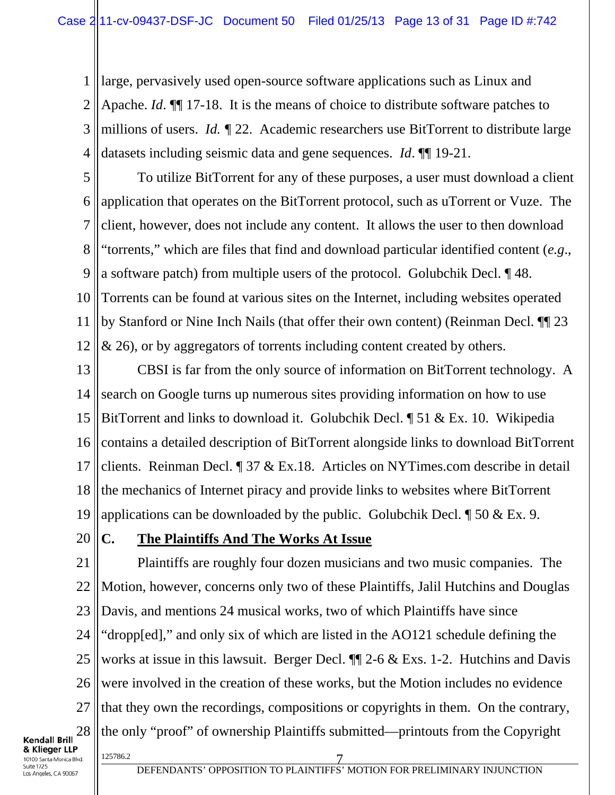1 2 3 4 large, pervasively used open-source software applications such as Linux and Apache. *Id*. ¶¶ 17-18. It is the means of choice to distribute software patches to millions of users. *Id. ¶* 22. Academic researchers use BitTorrent to distribute large datasets including seismic data and gene sequences. *Id*. ¶¶ 19-21.

5 6 7 8 9 10 11 12 To utilize BitTorrent for any of these purposes, a user must download a client application that operates on the BitTorrent protocol, such as uTorrent or Vuze. The client, however, does not include any content. It allows the user to then download "torrents," which are files that find and download particular identified content (*e.g*., a software patch) from multiple users of the protocol. Golubchik Decl. ¶ 48. Torrents can be found at various sites on the Internet, including websites operated by Stanford or Nine Inch Nails (that offer their own content) (Reinman Decl. ¶¶ 23 & 26), or by aggregators of torrents including content created by others.

13 14 15 16 17 18 19 CBSI is far from the only source of information on BitTorrent technology. A search on Google turns up numerous sites providing information on how to use BitTorrent and links to download it. Golubchik Decl. ¶ 51 & Ex. 10. Wikipedia contains a detailed description of BitTorrent alongside links to download BitTorrent clients. Reinman Decl. ¶ 37 & Ex.18. Articles on NYTimes.com describe in detail the mechanics of Internet piracy and provide links to websites where BitTorrent applications can be downloaded by the public. Golubchik Decl.  $\parallel$  50 & Ex. 9.

20

### **C. The Plaintiffs And The Works At Issue**

21 22 23 24 25 26 27 28 125786.2 7 Plaintiffs are roughly four dozen musicians and two music companies. The Motion, however, concerns only two of these Plaintiffs, Jalil Hutchins and Douglas Davis, and mentions 24 musical works, two of which Plaintiffs have since "dropp[ed]," and only six of which are listed in the AO121 schedule defining the works at issue in this lawsuit. Berger Decl.  $\P$  2-6 & Exs. 1-2. Hutchins and Davis were involved in the creation of these works, but the Motion includes no evidence that they own the recordings, compositions or copyrights in them. On the contrary, the only "proof" of ownership Plaintiffs submitted—printouts from the Copyright

**Kendall Brill** & Klieger LLP 10100 Santa Monica Blvd. Suite 1725 os Angeles, CA 90067

DEFENDANTS' OPPOSITION TO PLAINTIFFS' MOTION FOR PRELIMINARY INJUNCTION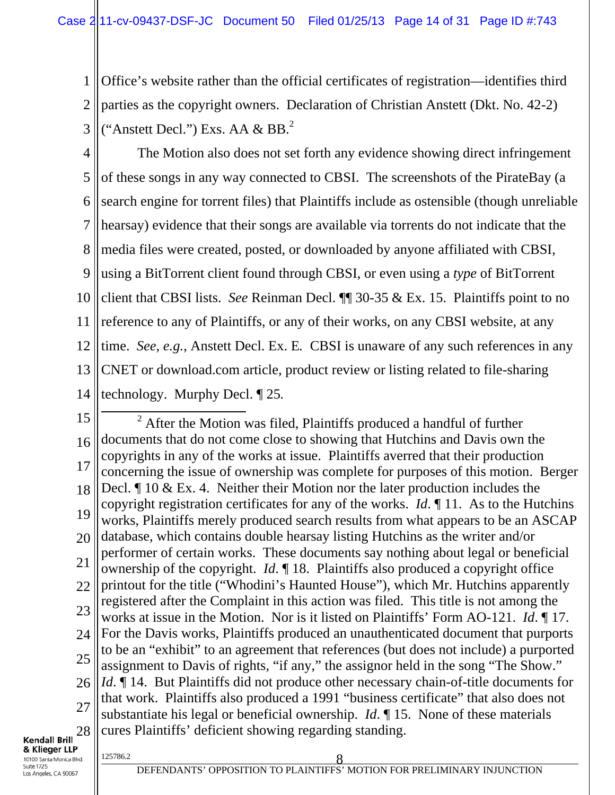1 2 3 Office's website rather than the official certificates of registration—identifies third parties as the copyright owners. Declaration of Christian Anstett (Dkt. No. 42-2) ("Anstett Decl.") Exs. AA  $\&$  BB. $^{2}$ 

4 5 6 7 8 9 10 11 12 13 14 The Motion also does not set forth any evidence showing direct infringement of these songs in any way connected to CBSI. The screenshots of the PirateBay (a search engine for torrent files) that Plaintiffs include as ostensible (though unreliable hearsay) evidence that their songs are available via torrents do not indicate that the media files were created, posted, or downloaded by anyone affiliated with CBSI, using a BitTorrent client found through CBSI, or even using a *type* of BitTorrent client that CBSI lists. *See* Reinman Decl. ¶¶ 30-35 & Ex. 15. Plaintiffs point to no reference to any of Plaintiffs, or any of their works, on any CBSI website, at any time. *See*, *e.g.*, Anstett Decl. Ex. E*.* CBSI is unaware of any such references in any CNET or download.com article, product review or listing related to file-sharing technology. Murphy Decl. ¶ 25*.*

15 16 17 18 19 20 21 22 23 24 25 26 27 28 2  $2$  After the Motion was filed, Plaintiffs produced a handful of further documents that do not come close to showing that Hutchins and Davis own the copyrights in any of the works at issue. Plaintiffs averred that their production concerning the issue of ownership was complete for purposes of this motion. Berger Decl. ¶ 10 & Ex. 4. Neither their Motion nor the later production includes the copyright registration certificates for any of the works. *Id*. ¶ 11. As to the Hutchins works, Plaintiffs merely produced search results from what appears to be an ASCAP database, which contains double hearsay listing Hutchins as the writer and/or performer of certain works. These documents say nothing about legal or beneficial ownership of the copyright. *Id*. ¶ 18. Plaintiffs also produced a copyright office printout for the title ("Whodini's Haunted House"), which Mr. Hutchins apparently registered after the Complaint in this action was filed. This title is not among the works at issue in the Motion. Nor is it listed on Plaintiffs' Form AO-121. *Id*. ¶ 17. For the Davis works, Plaintiffs produced an unauthenticated document that purports to be an "exhibit" to an agreement that references (but does not include) a purported assignment to Davis of rights, "if any," the assignor held in the song "The Show." *Id*. **[14.** But Plaintiffs did not produce other necessary chain-of-title documents for that work. Plaintiffs also produced a 1991 "business certificate" that also does not substantiate his legal or beneficial ownership. *Id*. ¶ 15. None of these materials cures Plaintiffs' deficient showing regarding standing.

**Kendall Brill** & Klieger LLP 10100 Santa Monica Blvd.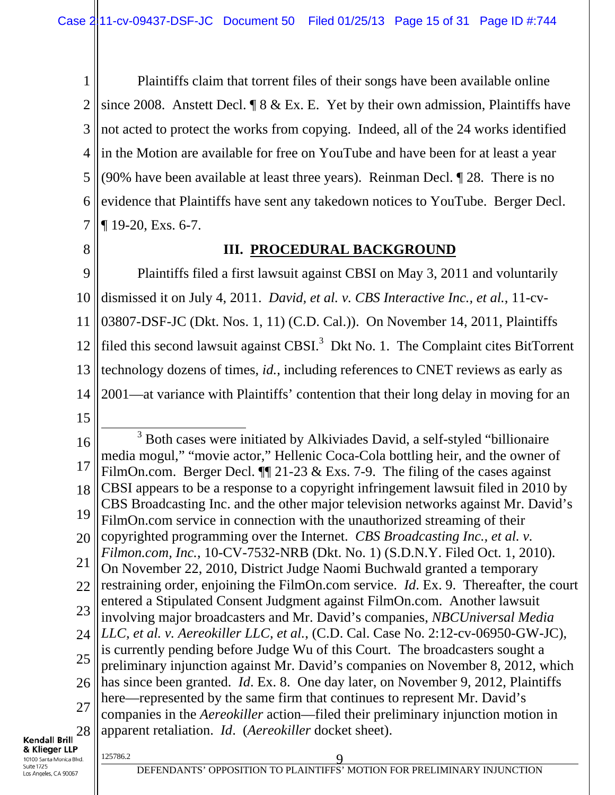1 2 3 4 5 6 7 Plaintiffs claim that torrent files of their songs have been available online since 2008. Anstett Decl. ¶ 8 & Ex. E. Yet by their own admission, Plaintiffs have not acted to protect the works from copying. Indeed, all of the 24 works identified in the Motion are available for free on YouTube and have been for at least a year (90% have been available at least three years). Reinman Decl. ¶ 28. There is no evidence that Plaintiffs have sent any takedown notices to YouTube. Berger Decl. ¶ 19-20, Exs. 6-7.

8

### **III. PROCEDURAL BACKGROUND**

9 10 11 12 13 14 Plaintiffs filed a first lawsuit against CBSI on May 3, 2011 and voluntarily dismissed it on July 4, 2011. *David, et al. v. CBS Interactive Inc., et al.*, 11-cv-03807-DSF-JC (Dkt. Nos. 1, 11) (C.D. Cal.)). On November 14, 2011, Plaintiffs filed this second lawsuit against CBSI. $3$  Dkt No. 1. The Complaint cites BitTorrent technology dozens of times, *id.*, including references to CNET reviews as early as 2001—at variance with Plaintiffs' contention that their long delay in moving for an

15

16 17 18 19 20 21 22 23 24 25 26 27 28  $\frac{3}{3}$ <sup>3</sup> Both cases were initiated by Alkiviades David, a self-styled "billionaire media mogul," "movie actor," Hellenic Coca-Cola bottling heir, and the owner of FilmOn.com. Berger Decl.  $\P$  21-23 & Exs. 7-9. The filing of the cases against CBSI appears to be a response to a copyright infringement lawsuit filed in 2010 by CBS Broadcasting Inc. and the other major television networks against Mr. David's FilmOn.com service in connection with the unauthorized streaming of their copyrighted programming over the Internet. *CBS Broadcasting Inc., et al. v. Filmon.com, Inc.*, 10-CV-7532-NRB (Dkt. No. 1) (S.D.N.Y. Filed Oct. 1, 2010). On November 22, 2010, District Judge Naomi Buchwald granted a temporary restraining order, enjoining the FilmOn.com service. *Id*. Ex. 9. Thereafter, the court entered a Stipulated Consent Judgment against FilmOn.com. Another lawsuit involving major broadcasters and Mr. David's companies, *NBCUniversal Media LLC, et al. v. Aereokiller LLC, et al.*, (C.D. Cal. Case No. 2:12-cv-06950-GW-JC), is currently pending before Judge Wu of this Court. The broadcasters sought a preliminary injunction against Mr. David's companies on November 8, 2012, which has since been granted. *Id*. Ex. 8. One day later, on November 9, 2012, Plaintiffs here—represented by the same firm that continues to represent Mr. David's companies in the *Aereokiller* action—filed their preliminary injunction motion in apparent retaliation. *Id*. (*Aereokiller* docket sheet).

**Kendall Brill** & Klieger LLP 10100 Santa Monica Blvd. Suite 1725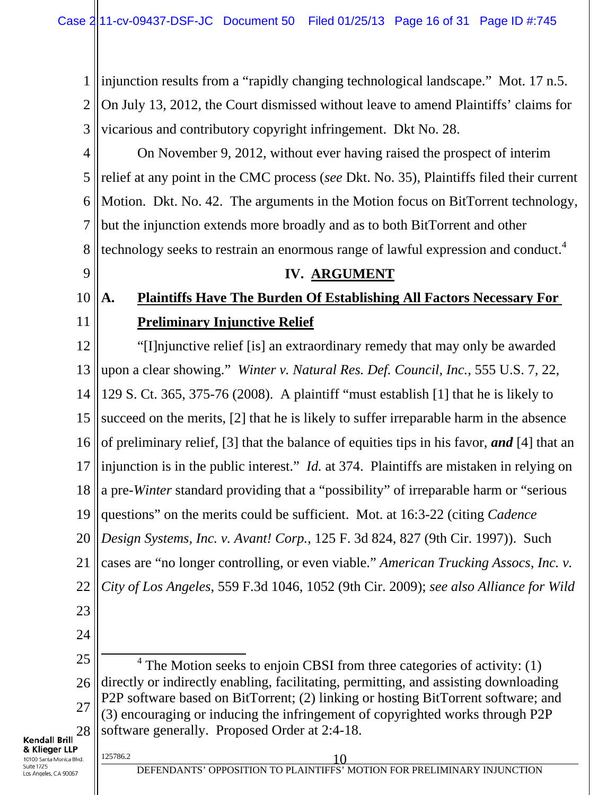1 2 3 injunction results from a "rapidly changing technological landscape." Mot. 17 n.5. On July 13, 2012, the Court dismissed without leave to amend Plaintiffs' claims for vicarious and contributory copyright infringement. Dkt No. 28.

4 5 6 7 8 On November 9, 2012, without ever having raised the prospect of interim relief at any point in the CMC process (*see* Dkt. No. 35), Plaintiffs filed their current Motion. Dkt. No. 42. The arguments in the Motion focus on BitTorrent technology, but the injunction extends more broadly and as to both BitTorrent and other technology seeks to restrain an enormous range of lawful expression and conduct.<sup>4</sup>

#### 9

#### **IV. ARGUMENT**

#### 10 11 **A. Plaintiffs Have The Burden Of Establishing All Factors Necessary For Preliminary Injunctive Relief**

12 13 14 15 16 17 18 19 20 21 22 23 "[I]njunctive relief [is] an extraordinary remedy that may only be awarded upon a clear showing." *Winter v. Natural Res. Def. Council, Inc.*, 555 U.S. 7, 22, 129 S. Ct. 365, 375-76 (2008). A plaintiff "must establish [1] that he is likely to succeed on the merits, [2] that he is likely to suffer irreparable harm in the absence of preliminary relief, [3] that the balance of equities tips in his favor, *and* [4] that an injunction is in the public interest." *Id.* at 374. Plaintiffs are mistaken in relying on a pre*-Winter* standard providing that a "possibility" of irreparable harm or "serious questions" on the merits could be sufficient. Mot. at 16:3-22 (citing *Cadence Design Systems, Inc. v. Avant! Corp.*, 125 F. 3d 824, 827 (9th Cir. 1997)). Such cases are "no longer controlling, or even viable." *American Trucking Assocs, Inc. v. City of Los Angeles*, 559 F.3d 1046, 1052 (9th Cir. 2009); *see also Alliance for Wild* 

24

25 26 27 28 4  $4$  The Motion seeks to enjoin CBSI from three categories of activity: (1) directly or indirectly enabling, facilitating, permitting, and assisting downloading P2P software based on BitTorrent; (2) linking or hosting BitTorrent software; and (3) encouraging or inducing the infringement of copyrighted works through P2P software generally. Proposed Order at 2:4-18.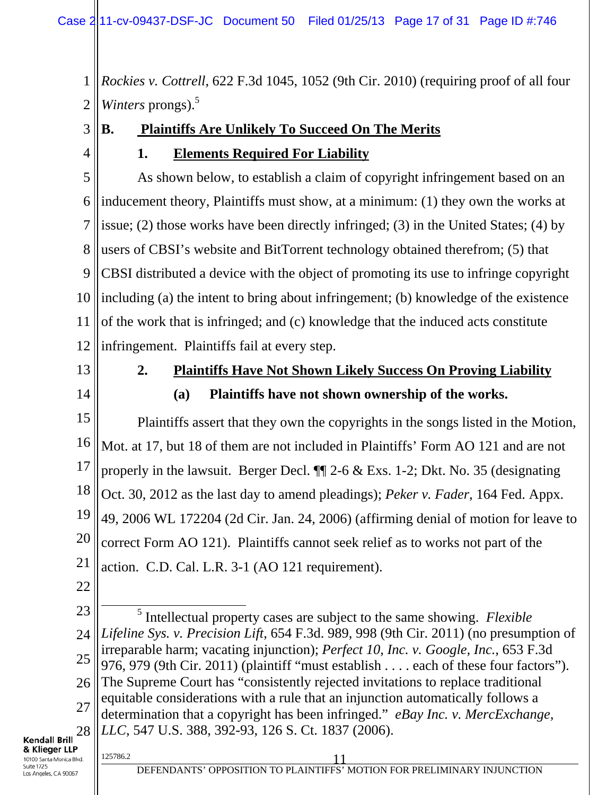1 2 *Rockies v. Cottrell*, 622 F.3d 1045, 1052 (9th Cir. 2010) (requiring proof of all four *Winters* prongs).<sup>5</sup>

3

4

# **1. Elements Required For Liability**

**B. Plaintiffs Are Unlikely To Succeed On The Merits**

5 6 7 8 9 10 11 12 As shown below, to establish a claim of copyright infringement based on an inducement theory, Plaintiffs must show, at a minimum: (1) they own the works at issue; (2) those works have been directly infringed; (3) in the United States; (4) by users of CBSI's website and BitTorrent technology obtained therefrom; (5) that CBSI distributed a device with the object of promoting its use to infringe copyright including (a) the intent to bring about infringement; (b) knowledge of the existence of the work that is infringed; and (c) knowledge that the induced acts constitute infringement. Plaintiffs fail at every step.

13

14

## **2. Plaintiffs Have Not Shown Likely Success On Proving Liability (a) Plaintiffs have not shown ownership of the works.**

15 16 17 18 19 20 21 Plaintiffs assert that they own the copyrights in the songs listed in the Motion, Mot. at 17, but 18 of them are not included in Plaintiffs' Form AO 121 and are not properly in the lawsuit. Berger Decl.  $\P$  2-6 & Exs. 1-2; Dkt. No. 35 (designating Oct. 30, 2012 as the last day to amend pleadings); *Peker v. Fader*, 164 Fed. Appx. 49, 2006 WL 172204 (2d Cir. Jan. 24, 2006) (affirming denial of motion for leave to correct Form AO 121). Plaintiffs cannot seek relief as to works not part of the action. C.D. Cal. L.R. 3-1 (AO 121 requirement).

22

23 24 25 26 27 28  $\frac{1}{5}$ <sup>5</sup> Intellectual property cases are subject to the same showing. *Flexible Lifeline Sys. v. Precision Lift*, 654 F.3d. 989, 998 (9th Cir. 2011) (no presumption of irreparable harm; vacating injunction); *Perfect 10, Inc. v. Google, Inc.*, 653 F.3d 976, 979 (9th Cir. 2011) (plaintiff "must establish . . . . each of these four factors"). The Supreme Court has "consistently rejected invitations to replace traditional equitable considerations with a rule that an injunction automatically follows a determination that a copyright has been infringed." *eBay Inc. v. MercExchange, LLC*, 547 U.S. 388, 392-93, 126 S. Ct. 1837 (2006).

#### **Kendall Brill** & Klieger LLP 10100 Santa Monica Blvd. Suite 1725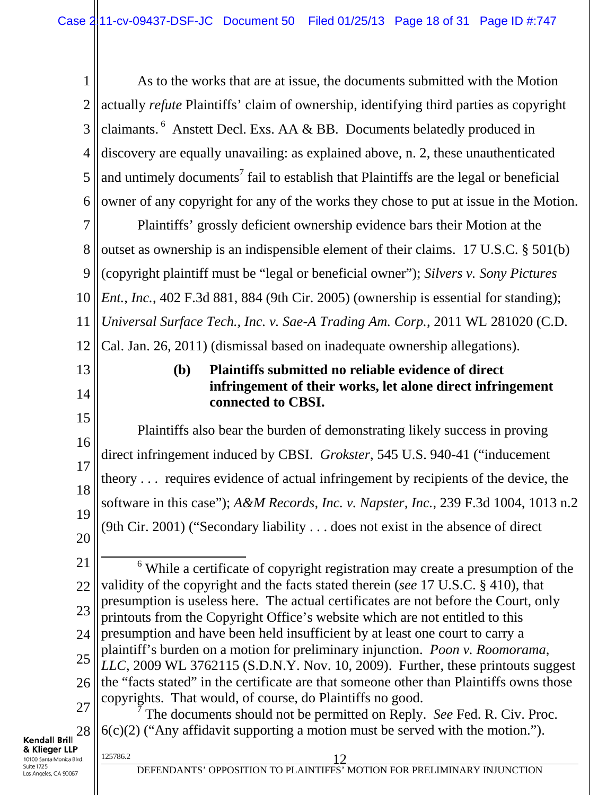1 2 3 4 5 6 As to the works that are at issue, the documents submitted with the Motion actually *refute* Plaintiffs' claim of ownership, identifying third parties as copyright claimants. 6 Anstett Decl. Exs. AA & BB. Documents belatedly produced in discovery are equally unavailing: as explained above, n. 2, these unauthenticated and untimely documents<sup>7</sup> fail to establish that Plaintiffs are the legal or beneficial owner of any copyright for any of the works they chose to put at issue in the Motion.

7 8 9 10 11 12 Plaintiffs' grossly deficient ownership evidence bars their Motion at the outset as ownership is an indispensible element of their claims. 17 U.S.C. § 501(b) (copyright plaintiff must be "legal or beneficial owner"); *Silvers v. Sony Pictures Ent., Inc.*, 402 F.3d 881, 884 (9th Cir. 2005) (ownership is essential for standing); *Universal Surface Tech., Inc. v. Sae-A Trading Am. Corp.*, 2011 WL 281020 (C.D. Cal. Jan. 26, 2011) (dismissal based on inadequate ownership allegations).

## 13 14

## **(b) Plaintiffs submitted no reliable evidence of direct infringement of their works, let alone direct infringement connected to CBSI.**

15 16 17 18 19 Plaintiffs also bear the burden of demonstrating likely success in proving direct infringement induced by CBSI. *Grokster*, 545 U.S. 940-41 ("inducement theory . . . requires evidence of actual infringement by recipients of the device, the software in this case"); *A&M Records, Inc. v. Napster, Inc.*, 239 F.3d 1004, 1013 n.2 (9th Cir. 2001) ("Secondary liability . . . does not exist in the absence of direct

20

21 22 23 24 25 26 27  $\overline{6}$  While a certificate of copyright registration may create a presumption of the validity of the copyright and the facts stated therein (*see* 17 U.S.C. § 410), that presumption is useless here. The actual certificates are not before the Court, only printouts from the Copyright Office's website which are not entitled to this presumption and have been held insufficient by at least one court to carry a plaintiff's burden on a motion for preliminary injunction. *Poon v. Roomorama*, *LLC*, 2009 WL 3762115 (S.D.N.Y. Nov. 10, 2009). Further, these printouts suggest the "facts stated" in the certificate are that someone other than Plaintiffs owns those copyrights. That would, of course, do Plaintiffs no good. 7 The documents should not be permitted on Reply. *See* Fed. R. Civ. Proc.

28 **Kendall Brill** & Klieger LLP 10100 Santa Monica Blvd. Suite 1725

Los Angeles, CA 90067

6(c)(2) ("Any affidavit supporting a motion must be served with the motion.").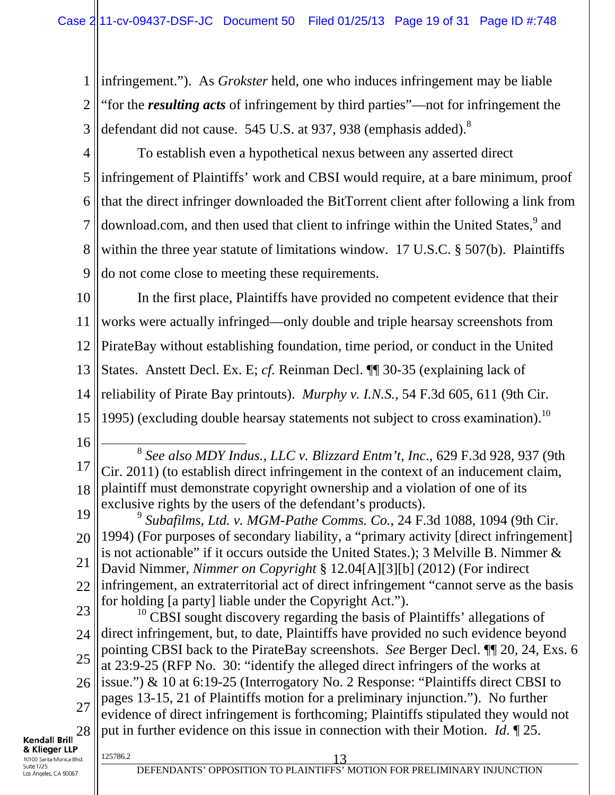1 2 3 infringement."). As *Grokster* held, one who induces infringement may be liable "for the *resulting acts* of infringement by third parties"—not for infringement the defendant did not cause. 545 U.S. at 937, 938 (emphasis added).<sup>8</sup>

4 5 6 7 8 9 To establish even a hypothetical nexus between any asserted direct infringement of Plaintiffs' work and CBSI would require, at a bare minimum, proof that the direct infringer downloaded the BitTorrent client after following a link from download.com, and then used that client to infringe within the United States,<sup>9</sup> and within the three year statute of limitations window. 17 U.S.C. § 507(b). Plaintiffs do not come close to meeting these requirements.

10 11 12 13 14 15 In the first place, Plaintiffs have provided no competent evidence that their works were actually infringed—only double and triple hearsay screenshots from PirateBay without establishing foundation, time period, or conduct in the United States. Anstett Decl. Ex. E; *cf.* Reinman Decl. ¶¶ 30-35 (explaining lack of reliability of Pirate Bay printouts). *Murphy v. I.N.S.*, 54 F.3d 605, 611 (9th Cir. 1995) (excluding double hearsay statements not subject to cross examination).<sup>10</sup>

16

17 18 8 *See also MDY Indus., LLC v. Blizzard Entm't, Inc*., 629 F.3d 928, 937 (9th Cir. 2011) (to establish direct infringement in the context of an inducement claim, plaintiff must demonstrate copyright ownership and a violation of one of its exclusive rights by the users of the defendant's products).

19 20 21 22 23 <sup>9</sup> *Subafilms, Ltd. v. MGM-Pathe Comms. Co.*, 24 F.3d 1088, 1094 (9th Cir. 1994) (For purposes of secondary liability, a "primary activity [direct infringement] is not actionable" if it occurs outside the United States.); 3 Melville B. Nimmer & David Nimmer, *Nimmer on Copyright* § 12.04[A][3][b] (2012) (For indirect infringement, an extraterritorial act of direct infringement "cannot serve as the basis for holding [a party] liable under the Copyright Act.").

24 25 26 27 28 125786.2 13  $10$  CBSI sought discovery regarding the basis of Plaintiffs' allegations of direct infringement, but, to date, Plaintiffs have provided no such evidence beyond pointing CBSI back to the PirateBay screenshots. *See* Berger Decl. ¶¶ 20, 24, Exs. 6 at 23:9-25 (RFP No. 30: "identify the alleged direct infringers of the works at issue.") & 10 at 6:19-25 (Interrogatory No. 2 Response: "Plaintiffs direct CBSI to pages 13-15, 21 of Plaintiffs motion for a preliminary injunction."). No further evidence of direct infringement is forthcoming; Plaintiffs stipulated they would not put in further evidence on this issue in connection with their Motion. *Id*. ¶ 25.

& Klieger LLP 10100 Santa Monica Blvd. Suite 1725 Los Angeles, CA 90067

**Kendall Brill**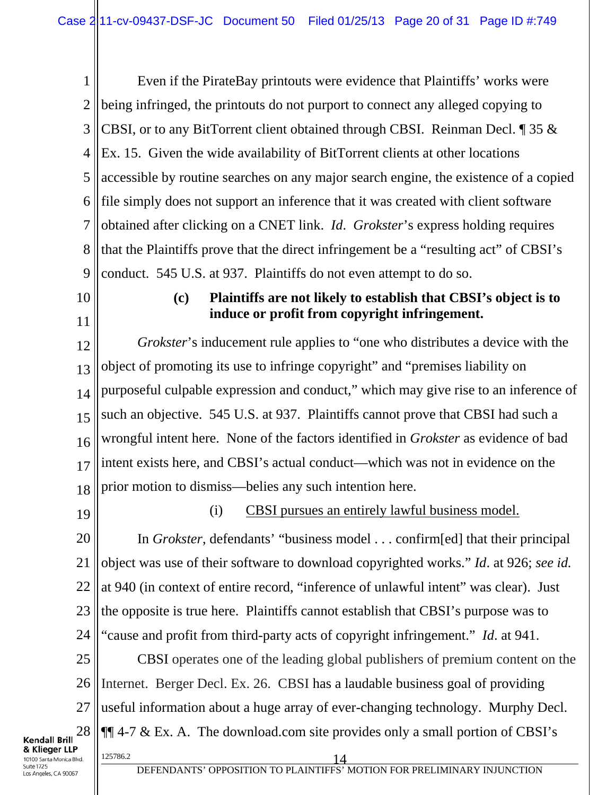1 2 3 4 5 6 7 8 9 Even if the PirateBay printouts were evidence that Plaintiffs' works were being infringed, the printouts do not purport to connect any alleged copying to CBSI, or to any BitTorrent client obtained through CBSI. Reinman Decl. ¶ 35 & Ex. 15. Given the wide availability of BitTorrent clients at other locations accessible by routine searches on any major search engine, the existence of a copied file simply does not support an inference that it was created with client software obtained after clicking on a CNET link. *Id*. *Grokster*'s express holding requires that the Plaintiffs prove that the direct infringement be a "resulting act" of CBSI's conduct.545 U.S. at 937. Plaintiffs do not even attempt to do so.

10

11

### **(c) Plaintiffs are not likely to establish that CBSI's object is to induce or profit from copyright infringement.**

12 13 14 15 16 17 18 *Grokster*'s inducement rule applies to "one who distributes a device with the object of promoting its use to infringe copyright" and "premises liability on purposeful culpable expression and conduct," which may give rise to an inference of such an objective. 545 U.S. at 937. Plaintiffs cannot prove that CBSI had such a wrongful intent here. None of the factors identified in *Grokster* as evidence of bad intent exists here, and CBSI's actual conduct—which was not in evidence on the prior motion to dismiss—belies any such intention here.

19

### (i) CBSI pursues an entirely lawful business model.

20 21 22 23 24 In *Grokster*, defendants' "business model . . . confirm[ed] that their principal object was use of their software to download copyrighted works." *Id*. at 926; *see id.*  at 940 (in context of entire record, "inference of unlawful intent" was clear). Just the opposite is true here. Plaintiffs cannot establish that CBSI's purpose was to "cause and profit from third-party acts of copyright infringement." *Id*. at 941.

25 26 27 28  $\frac{125786.2}{14}$ CBSI operates one of the leading global publishers of premium content on the Internet. Berger Decl. Ex. 26. CBSI has a laudable business goal of providing useful information about a huge array of ever-changing technology. Murphy Decl.  $\P$  $\parallel$  4-7 & Ex. A. The download.com site provides only a small portion of CBSI's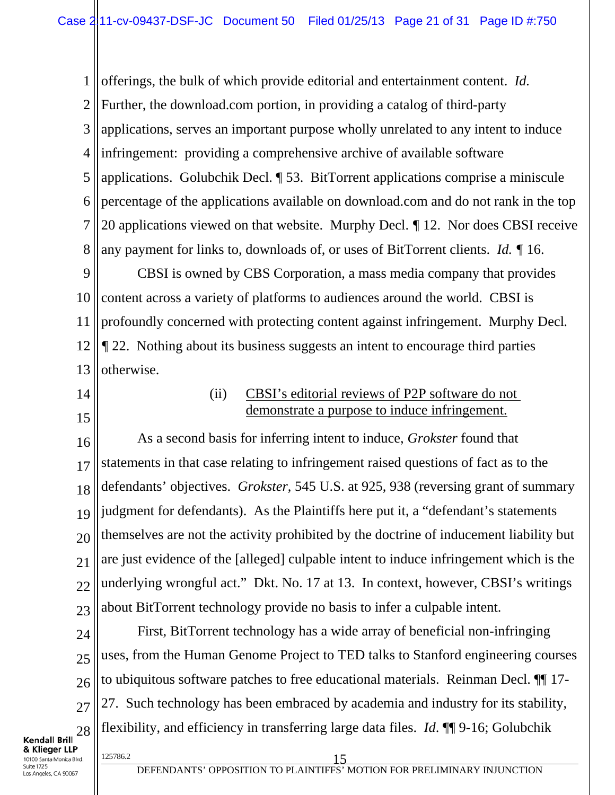1 2 3 4 5 6 7 8 offerings, the bulk of which provide editorial and entertainment content. *Id.*  Further, the download.com portion, in providing a catalog of third-party applications, serves an important purpose wholly unrelated to any intent to induce infringement: providing a comprehensive archive of available software applications. Golubchik Decl. ¶ 53. BitTorrent applications comprise a miniscule percentage of the applications available on download.com and do not rank in the top 20 applications viewed on that website. Murphy Decl. *¶* 12. Nor does CBSI receive any payment for links to, downloads of, or uses of BitTorrent clients. *Id. ¶* 16.

9 10 11 12 13 CBSI is owned by CBS Corporation, a mass media company that provides content across a variety of platforms to audiences around the world. CBSI is profoundly concerned with protecting content against infringement. Murphy Decl*. ¶* 22. Nothing about its business suggests an intent to encourage third parties otherwise.

- 14
- 15

### (ii) CBSI's editorial reviews of P2P software do not demonstrate a purpose to induce infringement.

16 17 18 19 20 21 22 23 As a second basis for inferring intent to induce, *Grokster* found that statements in that case relating to infringement raised questions of fact as to the defendants' objectives. *Grokster*, 545 U.S. at 925, 938 (reversing grant of summary judgment for defendants). As the Plaintiffs here put it, a "defendant's statements themselves are not the activity prohibited by the doctrine of inducement liability but are just evidence of the [alleged] culpable intent to induce infringement which is the underlying wrongful act." Dkt. No. 17 at 13. In context, however, CBSI's writings about BitTorrent technology provide no basis to infer a culpable intent.

24 25 26 27 28  $\frac{125786.2}{15}$ First, BitTorrent technology has a wide array of beneficial non-infringing uses, from the Human Genome Project to TED talks to Stanford engineering courses to ubiquitous software patches to free educational materials. Reinman Decl. ¶¶ 17- 27. Such technology has been embraced by academia and industry for its stability, flexibility, and efficiency in transferring large data files. *Id*. ¶¶ 9-16; Golubchik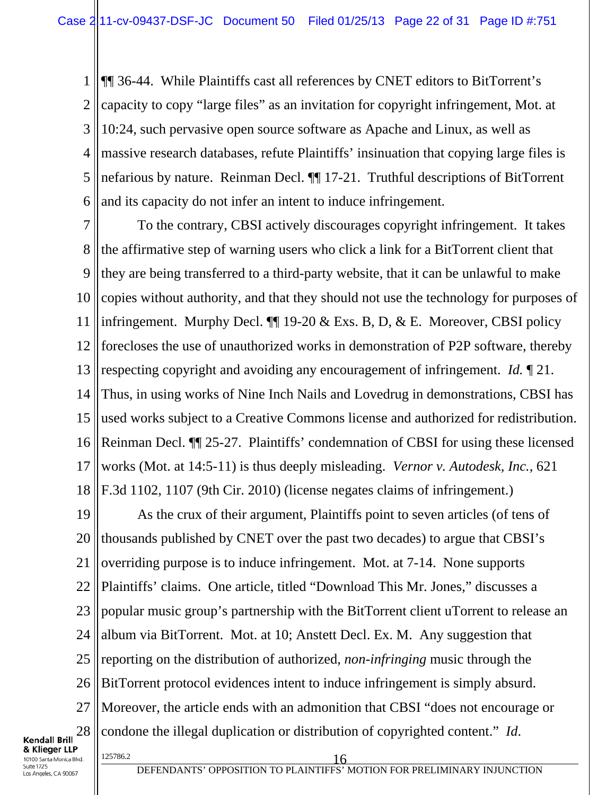1 2 3 4 5 6 ¶¶ 36-44. While Plaintiffs cast all references by CNET editors to BitTorrent's capacity to copy "large files" as an invitation for copyright infringement, Mot. at 10:24, such pervasive open source software as Apache and Linux, as well as massive research databases, refute Plaintiffs' insinuation that copying large files is nefarious by nature. Reinman Decl. ¶¶ 17-21. Truthful descriptions of BitTorrent and its capacity do not infer an intent to induce infringement.

7 8 9 10 11 12 13 14 15 16 17 18 To the contrary, CBSI actively discourages copyright infringement. It takes the affirmative step of warning users who click a link for a BitTorrent client that they are being transferred to a third-party website, that it can be unlawful to make copies without authority, and that they should not use the technology for purposes of infringement. Murphy Decl. ¶¶ 19-20 & Exs. B, D, & E. Moreover, CBSI policy forecloses the use of unauthorized works in demonstration of P2P software, thereby respecting copyright and avoiding any encouragement of infringement. *Id.* ¶ 21. Thus, in using works of Nine Inch Nails and Lovedrug in demonstrations, CBSI has used works subject to a Creative Commons license and authorized for redistribution. Reinman Decl. ¶¶ 25-27. Plaintiffs' condemnation of CBSI for using these licensed works (Mot. at 14:5-11) is thus deeply misleading. *Vernor v. Autodesk, Inc.*, 621 F.3d 1102, 1107 (9th Cir. 2010) (license negates claims of infringement.)

19 20 21 22 23 24 25 26 27 28  $\frac{125786.2}{16}$ As the crux of their argument, Plaintiffs point to seven articles (of tens of thousands published by CNET over the past two decades) to argue that CBSI's overriding purpose is to induce infringement. Mot. at 7-14. None supports Plaintiffs' claims. One article, titled "Download This Mr. Jones," discusses a popular music group's partnership with the BitTorrent client uTorrent to release an album via BitTorrent. Mot. at 10; Anstett Decl. Ex. M. Any suggestion that reporting on the distribution of authorized, *non*-*infringing* music through the BitTorrent protocol evidences intent to induce infringement is simply absurd. Moreover, the article ends with an admonition that CBSI "does not encourage or condone the illegal duplication or distribution of copyrighted content." *Id*.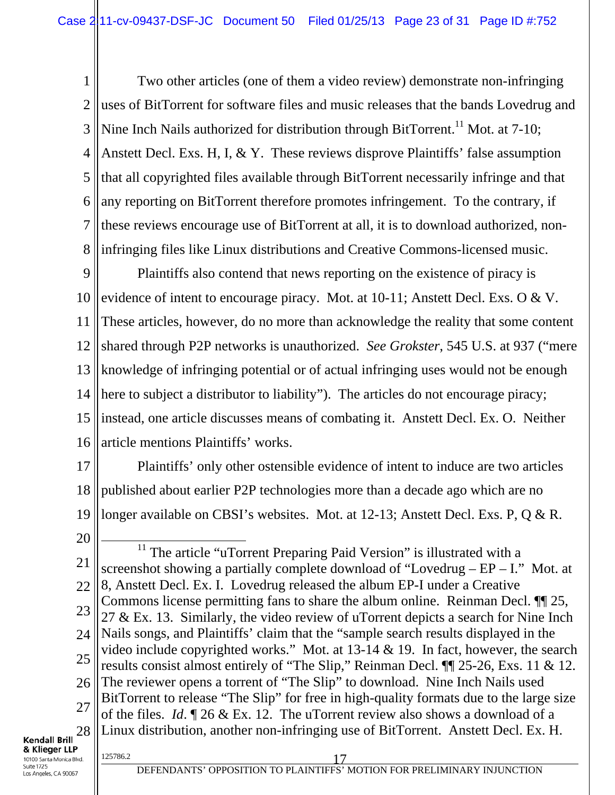1 2 3 4 5 6 7 8 Two other articles (one of them a video review) demonstrate non-infringing uses of BitTorrent for software files and music releases that the bands Lovedrug and Nine Inch Nails authorized for distribution through BitTorrent.<sup>11</sup> Mot. at 7-10; Anstett Decl. Exs. H, I, & Y. These reviews disprove Plaintiffs' false assumption that all copyrighted files available through BitTorrent necessarily infringe and that any reporting on BitTorrent therefore promotes infringement. To the contrary, if these reviews encourage use of BitTorrent at all, it is to download authorized, noninfringing files like Linux distributions and Creative Commons-licensed music.

9 10 11 12 13 14 15 16 Plaintiffs also contend that news reporting on the existence of piracy is evidence of intent to encourage piracy. Mot. at 10-11; Anstett Decl. Exs. O & V. These articles, however, do no more than acknowledge the reality that some content shared through P2P networks is unauthorized. *See Grokster*, 545 U.S. at 937 ("mere knowledge of infringing potential or of actual infringing uses would not be enough here to subject a distributor to liability"). The articles do not encourage piracy; instead, one article discusses means of combating it. Anstett Decl. Ex. O. Neither article mentions Plaintiffs' works.

- 17 18 19 Plaintiffs' only other ostensible evidence of intent to induce are two articles published about earlier P2P technologies more than a decade ago which are no longer available on CBSI's websites. Mot. at 12-13; Anstett Decl. Exs. P, Q & R.
- 20
- 21 22 23 24 25 26 27 28 <sup>11</sup> The article "uTorrent Preparing Paid Version" is illustrated with a screenshot showing a partially complete download of "Lovedrug – EP – I." Mot. at 8, Anstett Decl. Ex. I. Lovedrug released the album EP-I under a Creative Commons license permitting fans to share the album online. Reinman Decl. ¶¶ 25, 27 & Ex. 13. Similarly, the video review of uTorrent depicts a search for Nine Inch Nails songs, and Plaintiffs' claim that the "sample search results displayed in the video include copyrighted works." Mot. at 13-14 & 19. In fact, however, the search results consist almost entirely of "The Slip," Reinman Decl. ¶¶ 25-26, Exs. 11 & 12. The reviewer opens a torrent of "The Slip" to download. Nine Inch Nails used BitTorrent to release "The Slip" for free in high-quality formats due to the large size of the files. *Id*. ¶ 26 & Ex. 12. The uTorrent review also shows a download of a Linux distribution, another non-infringing use of BitTorrent. Anstett Decl. Ex. H.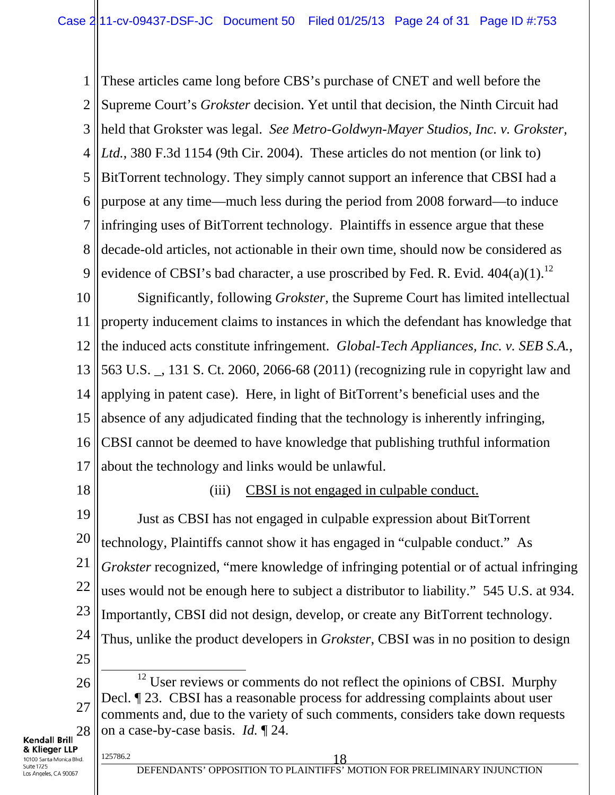1 2 3 4 5 6 7 8 9 These articles came long before CBS's purchase of CNET and well before the Supreme Court's *Grokster* decision. Yet until that decision, the Ninth Circuit had held that Grokster was legal. *See Metro-Goldwyn-Mayer Studios, Inc. v. Grokster, Ltd.*, 380 F.3d 1154 (9th Cir. 2004). These articles do not mention (or link to) BitTorrent technology. They simply cannot support an inference that CBSI had a purpose at any time—much less during the period from 2008 forward—to induce infringing uses of BitTorrent technology. Plaintiffs in essence argue that these decade-old articles, not actionable in their own time, should now be considered as evidence of CBSI's bad character, a use proscribed by Fed. R. Evid.  $404(a)(1)$ .<sup>12</sup>

10 11 12 13 14 15 16 17 Significantly, following *Grokster*, the Supreme Court has limited intellectual property inducement claims to instances in which the defendant has knowledge that the induced acts constitute infringement. *Global-Tech Appliances, Inc. v. SEB S.A.*, 563 U.S. \_, 131 S. Ct. 2060, 2066-68 (2011) (recognizing rule in copyright law and applying in patent case). Here, in light of BitTorrent's beneficial uses and the absence of any adjudicated finding that the technology is inherently infringing, CBSI cannot be deemed to have knowledge that publishing truthful information about the technology and links would be unlawful.

18

### (iii) CBSI is not engaged in culpable conduct.

19 20 21 22 23 24 25 Just as CBSI has not engaged in culpable expression about BitTorrent technology, Plaintiffs cannot show it has engaged in "culpable conduct." As *Grokster* recognized, "mere knowledge of infringing potential or of actual infringing uses would not be enough here to subject a distributor to liability." 545 U.S. at 934. Importantly, CBSI did not design, develop, or create any BitTorrent technology. Thus, unlike the product developers in *Grokster*, CBSI was in no position to design <sup>12</sup> User reviews or comments do not reflect the opinions of CBSI. Murphy

26 27 28 Decl. ¶ 23. CBSI has a reasonable process for addressing complaints about user comments and, due to the variety of such comments, considers take down requests on a case-by-case basis. *Id.* ¶ 24.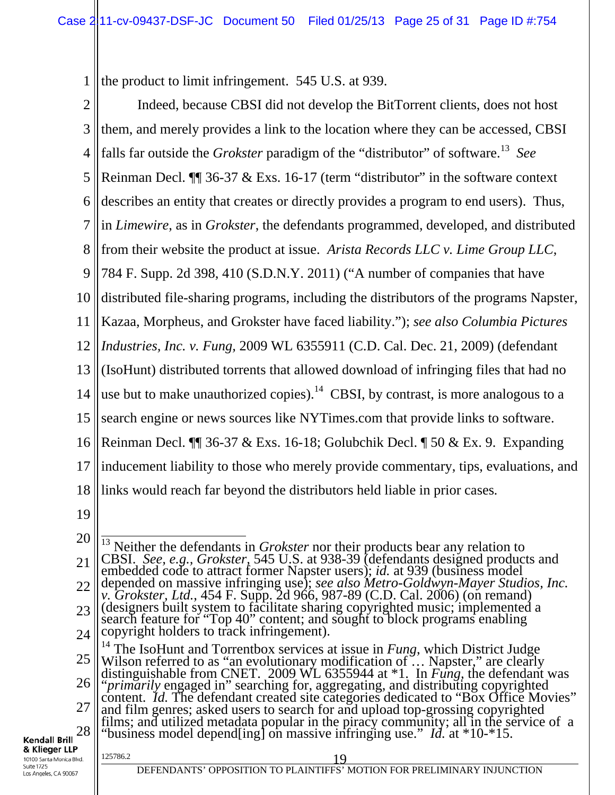1 the product to limit infringement. 545 U.S. at 939.

| $\overline{2}$                                          | Indeed, because CBSI did not develop the BitTorrent clients, does not host                                                                                                                                                                                                   |
|---------------------------------------------------------|------------------------------------------------------------------------------------------------------------------------------------------------------------------------------------------------------------------------------------------------------------------------------|
| 3                                                       | them, and merely provides a link to the location where they can be accessed, CBSI                                                                                                                                                                                            |
| $\overline{4}$                                          | falls far outside the <i>Grokster</i> paradigm of the "distributor" of software. <sup>13</sup> See                                                                                                                                                                           |
| 5                                                       | Reinman Decl. $\P$ 36-37 & Exs. 16-17 (term "distributor" in the software context                                                                                                                                                                                            |
| 6                                                       | describes an entity that creates or directly provides a program to end users). Thus,                                                                                                                                                                                         |
| $\overline{7}$                                          | in Limewire, as in Grokster, the defendants programmed, developed, and distributed                                                                                                                                                                                           |
| 8                                                       | from their website the product at issue. Arista Records LLC v. Lime Group LLC,                                                                                                                                                                                               |
| 9                                                       | 784 F. Supp. 2d 398, 410 (S.D.N.Y. 2011) ("A number of companies that have                                                                                                                                                                                                   |
| 10                                                      | distributed file-sharing programs, including the distributors of the programs Napster,                                                                                                                                                                                       |
| 11                                                      | Kazaa, Morpheus, and Grokster have faced liability."); see also Columbia Pictures                                                                                                                                                                                            |
| 12                                                      | Industries, Inc. v. Fung, 2009 WL 6355911 (C.D. Cal. Dec. 21, 2009) (defendant                                                                                                                                                                                               |
| 13                                                      | (IsoHunt) distributed torrents that allowed download of infringing files that had no                                                                                                                                                                                         |
| 14                                                      | use but to make unauthorized copies). <sup>14</sup> CBSI, by contrast, is more analogous to a                                                                                                                                                                                |
| 15                                                      | search engine or news sources like NYTimes.com that provide links to software.                                                                                                                                                                                               |
| 16                                                      | Reinman Decl. $\P$ 36-37 & Exs. 16-18; Golubchik Decl. $\P$ 50 & Ex. 9. Expanding                                                                                                                                                                                            |
| 17                                                      | inducement liability to those who merely provide commentary, tips, evaluations, and                                                                                                                                                                                          |
| 18                                                      | links would reach far beyond the distributors held liable in prior cases.                                                                                                                                                                                                    |
| 19                                                      |                                                                                                                                                                                                                                                                              |
| 20                                                      | $\frac{13}{13}$ Neither the defendants in <i>Grokster</i> nor their products bear any relation to                                                                                                                                                                            |
| 21                                                      | CBSI. See, e.g., Grokster, 545 U.S. at 938-39 (defendants designed products and<br>embedded code to attract former Napster users); id. at 939 (business model                                                                                                                |
| 22                                                      | depended on massive infringing use); see also Metro-Goldwyn-Mayer Studios, Inc.<br>v. Grokster, Ltd., 454 F. Supp. 2d 966, 987-89 (C.D. Cal. 2006) (on remand)                                                                                                               |
| 23                                                      | (designers built system to facilitate sharing copyrighted music; implemented a<br>search feature for "Top 40" content; and sought to block programs enabling                                                                                                                 |
| 24                                                      | copyright holders to track infringement).                                                                                                                                                                                                                                    |
| 25                                                      | <sup>14</sup> The IsoHunt and Torrentbox services at issue in <i>Fung</i> , which District Judge<br>Wilson referred to as "an evolutionary modification of  Napster," are clearly<br>distinguishable from CNET. 2009 WL 6355944 at $*1$ . In <i>Fung</i> , the defendant was |
| 26                                                      | "primarily engaged in" searching for, aggregating, and distributing copyrighted content. <i>Id</i> . The defendant created site categories dedicated to "Box Office Movies"                                                                                                  |
| 27                                                      | and film genres; asked users to search for and upload top-grossing copyrighted                                                                                                                                                                                               |
| 28<br>Kendall Brill                                     | films; and utilized metadata popular in the piracy community; all in the service of a<br>"business model depend [ing] on massive infringing use." <i>Id.</i> at *10-*15.                                                                                                     |
| & Klieger LLP<br>10100 Santa Monica Blvd.<br>Suite 1725 | 125786.2<br>19<br>DEFENDANTS' OPPOSITION TO PLAINTIFFS' MOTION FOR PRELIMINARY INJUNCTION                                                                                                                                                                                    |
| Los Angeles, CA 90067                                   |                                                                                                                                                                                                                                                                              |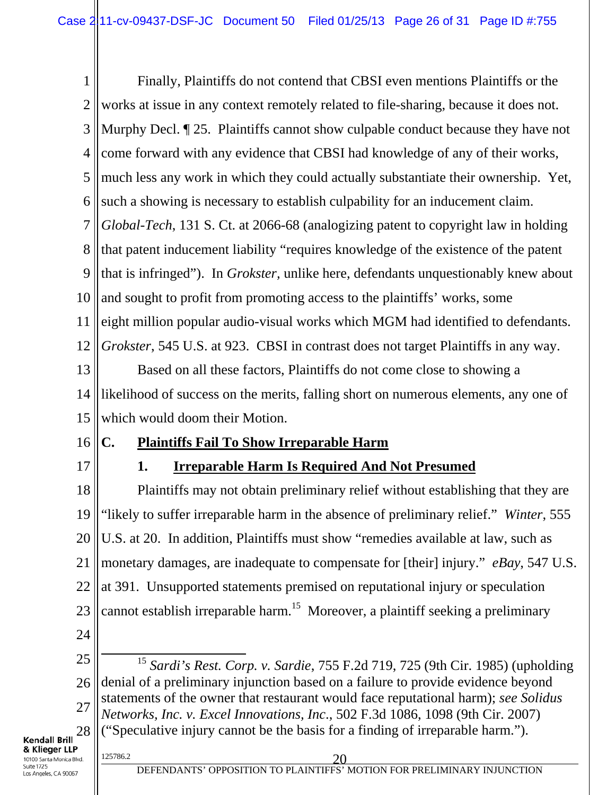1 2 3 4 5 6 7 8 9 10 11 12 13 14 15 Finally, Plaintiffs do not contend that CBSI even mentions Plaintiffs or the works at issue in any context remotely related to file-sharing, because it does not. Murphy Decl. ¶ 25. Plaintiffs cannot show culpable conduct because they have not come forward with any evidence that CBSI had knowledge of any of their works, much less any work in which they could actually substantiate their ownership. Yet, such a showing is necessary to establish culpability for an inducement claim. *Global-Tech*, 131 S. Ct. at 2066-68 (analogizing patent to copyright law in holding that patent inducement liability "requires knowledge of the existence of the patent that is infringed"). In *Grokster,* unlike here, defendants unquestionably knew about and sought to profit from promoting access to the plaintiffs' works, some eight million popular audio-visual works which MGM had identified to defendants. *Grokster*, 545 U.S. at 923. CBSI in contrast does not target Plaintiffs in any way. Based on all these factors, Plaintiffs do not come close to showing a likelihood of success on the merits, falling short on numerous elements, any one of which would doom their Motion.

- 16
- 17

# **1. Irreparable Harm Is Required And Not Presumed**

**C. Plaintiffs Fail To Show Irreparable Harm**

18 19 20 21 22 23 24 Plaintiffs may not obtain preliminary relief without establishing that they are "likely to suffer irreparable harm in the absence of preliminary relief." *Winter*, 555 U.S. at 20. In addition, Plaintiffs must show "remedies available at law, such as monetary damages, are inadequate to compensate for [their] injury." *eBay*, 547 U.S. at 391. Unsupported statements premised on reputational injury or speculation cannot establish irreparable harm.<sup>15</sup> Moreover, a plaintiff seeking a preliminary

25 26 27 28 15 *Sardi's Rest. Corp. v. Sardie*, 755 F.2d 719, 725 (9th Cir. 1985) (upholding denial of a preliminary injunction based on a failure to provide evidence beyond statements of the owner that restaurant would face reputational harm); *see Solidus Networks, Inc. v. Excel Innovations, Inc*., 502 F.3d 1086, 1098 (9th Cir. 2007) ("Speculative injury cannot be the basis for a finding of irreparable harm.").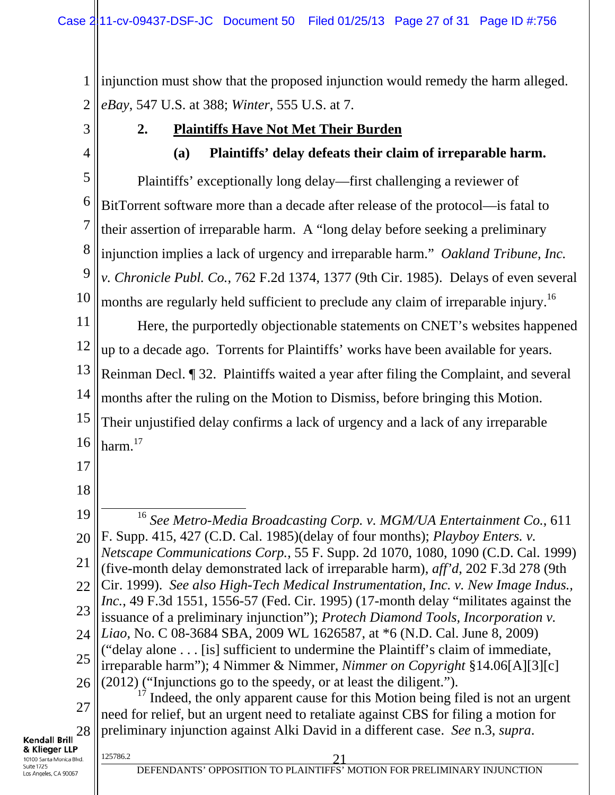1 2 injunction must show that the proposed injunction would remedy the harm alleged. *eBay*, 547 U.S. at 388; *Winter*, 555 U.S. at 7.

3

4

### **2. Plaintiffs Have Not Met Their Burden**

**(a) Plaintiffs' delay defeats their claim of irreparable harm.** 

5 6 7 8 9 10 Plaintiffs' exceptionally long delay—first challenging a reviewer of BitTorrent software more than a decade after release of the protocol—is fatal to their assertion of irreparable harm. A "long delay before seeking a preliminary injunction implies a lack of urgency and irreparable harm." *Oakland Tribune, Inc. v. Chronicle Publ. Co.*, 762 F.2d 1374, 1377 (9th Cir. 1985). Delays of even several months are regularly held sufficient to preclude any claim of irreparable injury.<sup>16</sup>

11 12 13 14 15 16 Here, the purportedly objectionable statements on CNET's websites happened up to a decade ago. Torrents for Plaintiffs' works have been available for years. Reinman Decl. ¶ 32. Plaintiffs waited a year after filing the Complaint, and several months after the ruling on the Motion to Dismiss, before bringing this Motion. Their unjustified delay confirms a lack of urgency and a lack of any irreparable harm.<sup>17</sup>

- 17
- 18

19 20 21 22 23 24 25 26 27 16 *See Metro-Media Broadcasting Corp. v. MGM/UA Entertainment Co.*, 611 F. Supp. 415, 427 (C.D. Cal. 1985)(delay of four months); *Playboy Enters. v. Netscape Communications Corp.*, 55 F. Supp. 2d 1070, 1080, 1090 (C.D. Cal. 1999) (five-month delay demonstrated lack of irreparable harm), *aff'd*, 202 F.3d 278 (9th Cir. 1999). *See also High-Tech Medical Instrumentation, Inc. v. New Image Indus., Inc.*, 49 F.3d 1551, 1556-57 (Fed. Cir. 1995) (17-month delay "militates against the issuance of a preliminary injunction"); *Protech Diamond Tools, Incorporation v. Liao*, No. C 08-3684 SBA, 2009 WL 1626587, at \*6 (N.D. Cal. June 8, 2009) ("delay alone . . . [is] sufficient to undermine the Plaintiff's claim of immediate, irreparable harm"); 4 Nimmer & Nimmer, *Nimmer on Copyright* §14.06[A][3][c] (2012) ("Injunctions go to the speedy, or at least the diligent.").  $17$  Indeed, the only apparent cause for this Motion being filed is not an urgent need for relief, but an urgent need to retaliate against CBS for filing a motion for

#### 28 **Kendall Brill** & Klieger LLP 10100 Santa Monica Blvd. Suite 1725

preliminary injunction against Alki David in a different case. *See* n.3, *supra*.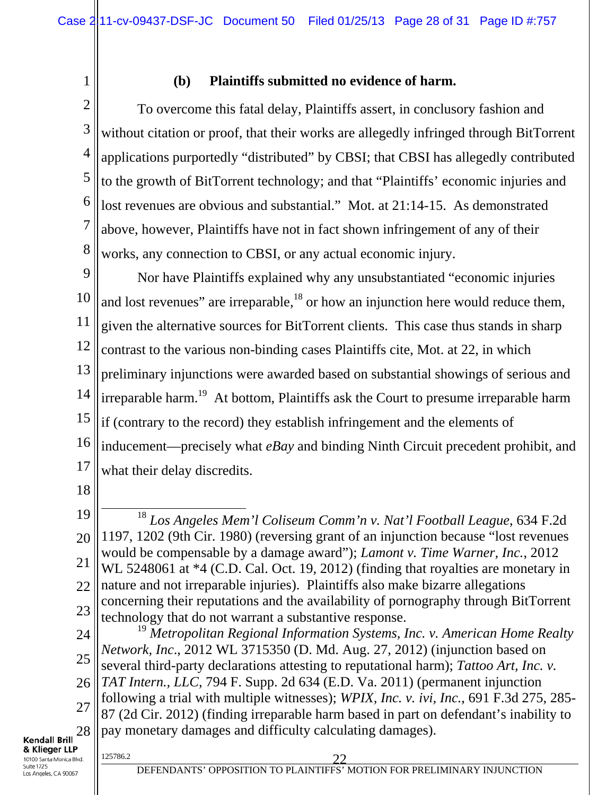1

### **(b) Plaintiffs submitted no evidence of harm.**

2 3 4 5 6 7 8 To overcome this fatal delay, Plaintiffs assert, in conclusory fashion and without citation or proof, that their works are allegedly infringed through BitTorrent applications purportedly "distributed" by CBSI; that CBSI has allegedly contributed to the growth of BitTorrent technology; and that "Plaintiffs' economic injuries and lost revenues are obvious and substantial." Mot. at 21:14-15. As demonstrated above, however, Plaintiffs have not in fact shown infringement of any of their works, any connection to CBSI, or any actual economic injury.

9 10 11 12 13 14 15 16 17 Nor have Plaintiffs explained why any unsubstantiated "economic injuries and lost revenues" are irreparable, $18$  or how an injunction here would reduce them, given the alternative sources for BitTorrent clients. This case thus stands in sharp contrast to the various non-binding cases Plaintiffs cite, Mot. at 22, in which preliminary injunctions were awarded based on substantial showings of serious and irreparable harm.<sup>19</sup> At bottom, Plaintiffs ask the Court to presume irreparable harm if (contrary to the record) they establish infringement and the elements of inducement—precisely what *eBay* and binding Ninth Circuit precedent prohibit, and what their delay discredits.

18

19 20 21 22 23 18 *Los Angeles Mem'l Coliseum Comm'n v. Nat'l Football League*, 634 F.2d 1197, 1202 (9th Cir. 1980) (reversing grant of an injunction because "lost revenues would be compensable by a damage award"); *Lamont v. Time Warner, Inc.*, 2012 WL 5248061 at  $*4$  (C.D. Cal. Oct. 19, 2012) (finding that royalties are monetary in nature and not irreparable injuries). Plaintiffs also make bizarre allegations concerning their reputations and the availability of pornography through BitTorrent technology that do not warrant a substantive response.

24 25 26 27 28 <sup>19</sup> *Metropolitan Regional Information Systems, Inc. v. American Home Realty Network, Inc*., 2012 WL 3715350 (D. Md. Aug. 27, 2012) (injunction based on several third-party declarations attesting to reputational harm); *Tattoo Art, Inc. v. TAT Intern., LLC*, 794 F. Supp. 2d 634 (E.D. Va. 2011) (permanent injunction following a trial with multiple witnesses); *WPIX, Inc. v. ivi, Inc.*, 691 F.3d 275, 285- 87 (2d Cir. 2012) (finding irreparable harm based in part on defendant's inability to pay monetary damages and difficulty calculating damages).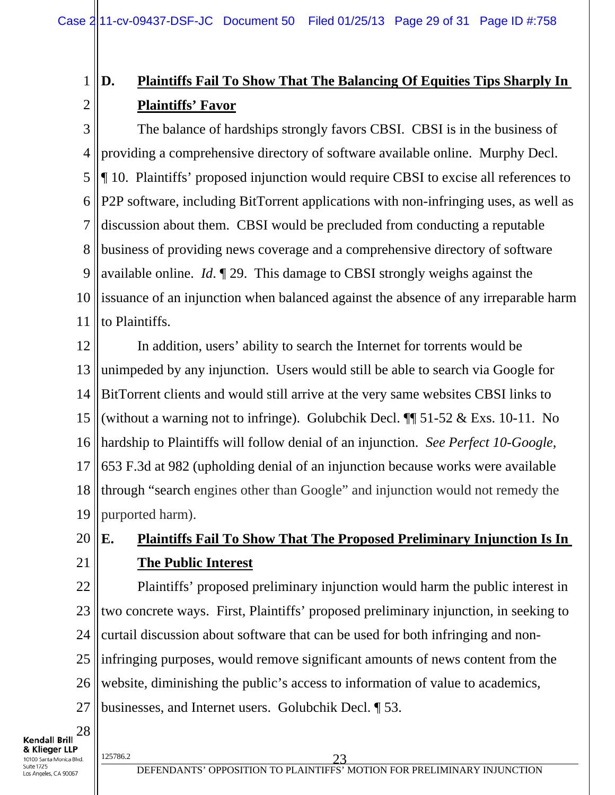#### 1 2 **D. Plaintiffs Fail To Show That The Balancing Of Equities Tips Sharply In Plaintiffs' Favor**

3 4 5 6 7 8 9 10 11 The balance of hardships strongly favors CBSI. CBSI is in the business of providing a comprehensive directory of software available online. Murphy Decl. ¶ 10. Plaintiffs' proposed injunction would require CBSI to excise all references to P2P software, including BitTorrent applications with non-infringing uses, as well as discussion about them. CBSI would be precluded from conducting a reputable business of providing news coverage and a comprehensive directory of software available online. *Id*. ¶ 29. This damage to CBSI strongly weighs against the issuance of an injunction when balanced against the absence of any irreparable harm to Plaintiffs.

12 13 14 15 16 17 18 19 In addition, users' ability to search the Internet for torrents would be unimpeded by any injunction. Users would still be able to search via Google for BitTorrent clients and would still arrive at the very same websites CBSI links to (without a warning not to infringe). Golubchik Decl. ¶¶ 51-52 & Exs. 10-11. No hardship to Plaintiffs will follow denial of an injunction. *See Perfect 10-Google*, 653 F.3d at 982 (upholding denial of an injunction because works were available through "search engines other than Google" and injunction would not remedy the purported harm).

- 20
- 21

# **E. Plaintiffs Fail To Show That The Proposed Preliminary Injunction Is In The Public Interest**

22 23 24 25 26 27 Plaintiffs' proposed preliminary injunction would harm the public interest in two concrete ways. First, Plaintiffs' proposed preliminary injunction, in seeking to curtail discussion about software that can be used for both infringing and noninfringing purposes, would remove significant amounts of news content from the website, diminishing the public's access to information of value to academics, businesses, and Internet users. Golubchik Decl. ¶ 53.

**Kendall Brill** & Klieger LLP 10100 Santa Monica Blvd. Suite 1725

28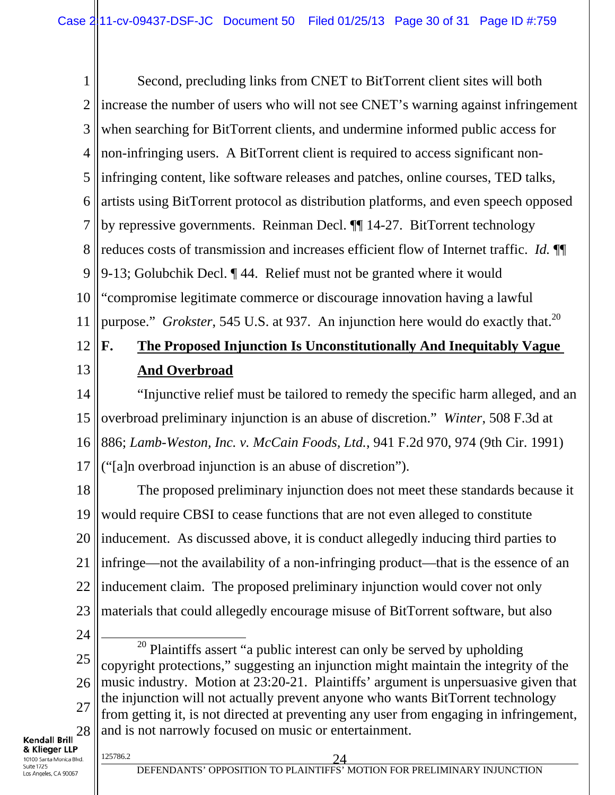1 2 3 4 5 6 7 8 9 10 11 Second, precluding links from CNET to BitTorrent client sites will both increase the number of users who will not see CNET's warning against infringement when searching for BitTorrent clients, and undermine informed public access for non-infringing users. A BitTorrent client is required to access significant noninfringing content, like software releases and patches, online courses, TED talks, artists using BitTorrent protocol as distribution platforms, and even speech opposed by repressive governments. Reinman Decl. ¶¶ 14-27. BitTorrent technology reduces costs of transmission and increases efficient flow of Internet traffic. *Id.* ¶¶ 9-13; Golubchik Decl. ¶ 44. Relief must not be granted where it would "compromise legitimate commerce or discourage innovation having a lawful purpose." *Grokster*, 545 U.S. at 937. An injunction here would do exactly that.<sup>20</sup>

## 12 13

# **F. The Proposed Injunction Is Unconstitutionally And Inequitably Vague And Overbroad**

14 15 16 17 "Injunctive relief must be tailored to remedy the specific harm alleged, and an overbroad preliminary injunction is an abuse of discretion." *Winter*, 508 F.3d at 886; *Lamb-Weston, Inc. v. McCain Foods, Ltd.*, 941 F.2d 970, 974 (9th Cir. 1991) ("[a]n overbroad injunction is an abuse of discretion").

18 19 20 21 22 23 The proposed preliminary injunction does not meet these standards because it would require CBSI to cease functions that are not even alleged to constitute inducement. As discussed above, it is conduct allegedly inducing third parties to infringe—not the availability of a non-infringing product—that is the essence of an inducement claim. The proposed preliminary injunction would cover not only materials that could allegedly encourage misuse of BitTorrent software, but also

24

25 26 27 28  $20$  Plaintiffs assert "a public interest can only be served by upholding copyright protections," suggesting an injunction might maintain the integrity of the music industry. Motion at 23:20-21. Plaintiffs' argument is unpersuasive given that the injunction will not actually prevent anyone who wants BitTorrent technology from getting it, is not directed at preventing any user from engaging in infringement, and is not narrowly focused on music or entertainment.